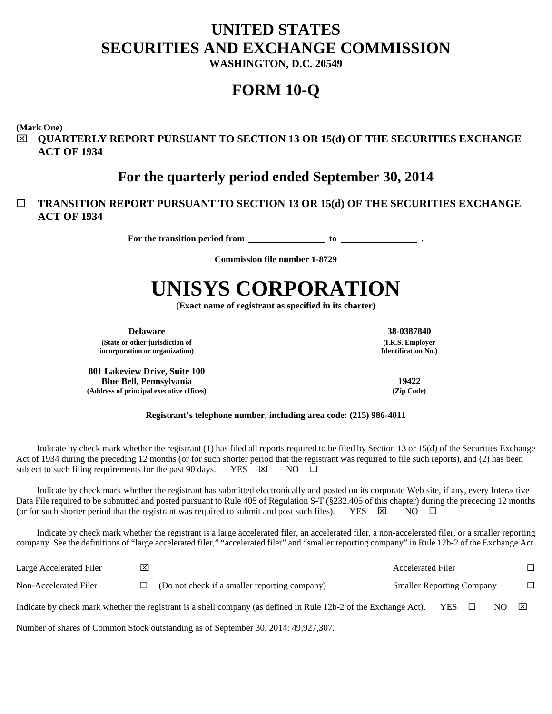# **UNITED STATES SECURITIES AND EXCHANGE COMMISSION**

**WASHINGTON, D.C. 20549**

# **FORM 10-Q**

**(Mark One)**

 **QUARTERLY REPORT PURSUANT TO SECTION 13 OR 15(d) OF THE SECURITIES EXCHANGE ACT OF 1934**

# **For the quarterly period ended September 30, 2014**

# **TRANSITION REPORT PURSUANT TO SECTION 13 OR 15(d) OF THE SECURITIES EXCHANGE ACT OF 1934**

For the transition period from **the set of the transition period from** to <u>set of the set of the set of the set of the set of the set of the set of the set of the set of the set of the set of the set of the set of the set </u>

**Commission file number 1-8729**

# **UNISYS CORPORATION**

**(Exact name of registrant as specified in its charter)**

**Delaware 38-0387840**

**(State or other jurisdiction of incorporation or organization)**

**801 Lakeview Drive, Suite 100 Blue Bell, Pennsylvania 19422 (Address of principal executive offices) (Zip Code)**

**(I.R.S. Employer Identification No.)**

**Registrant's telephone number, including area code: (215) 986-4011**

Indicate by check mark whether the registrant (1) has filed all reports required to be filed by Section 13 or 15(d) of the Securities Exchange Act of 1934 during the preceding 12 months (or for such shorter period that the registrant was required to file such reports), and (2) has been subject to such filing requirements for the past 90 days. YES  $\boxtimes$  NO  $\Box$ 

Indicate by check mark whether the registrant has submitted electronically and posted on its corporate Web site, if any, every Interactive Data File required to be submitted and posted pursuant to Rule 405 of Regulation S-T (§232.405 of this chapter) during the preceding 12 months (or for such shorter period that the registrant was required to submit and post such files). YES  $\boxtimes$  NO  $\Box$ 

Indicate by check mark whether the registrant is a large accelerated filer, an accelerated filer, a non-accelerated filer, or a smaller reporting company. See the definitions of "large accelerated filer," "accelerated filer" and "smaller reporting company" in Rule 12b-2 of the Exchange Act.

| Large Accelerated Filer | $\overline{\mathsf{x}}$ |                                                                                                                  | <b>Accelerated Filer</b>         |                 |     |              |
|-------------------------|-------------------------|------------------------------------------------------------------------------------------------------------------|----------------------------------|-----------------|-----|--------------|
| Non-Accelerated Filer   | LI                      | (Do not check if a smaller reporting company)                                                                    | <b>Smaller Reporting Company</b> |                 |     | $\Box$       |
|                         |                         | Indicate by check mark whether the registrant is a shell company (as defined in Rule 12b-2 of the Exchange Act). |                                  | $YES$ $\square$ | NO. | $\mathbf{X}$ |

Number of shares of Common Stock outstanding as of September 30, 2014: 49,927,307.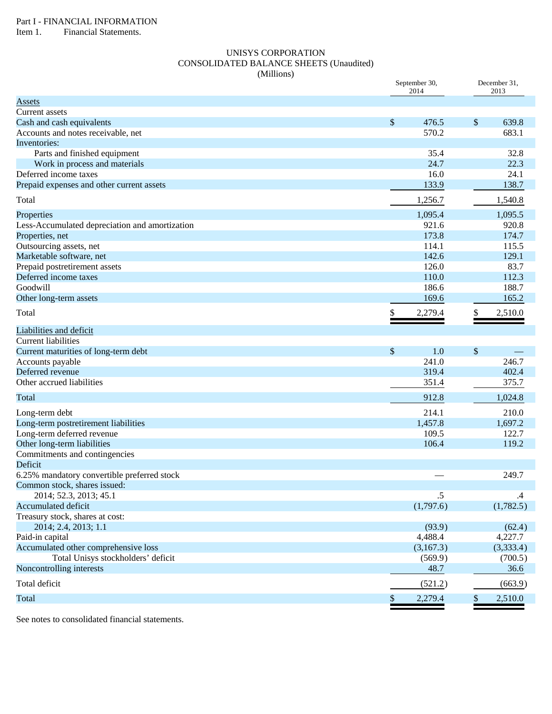Item 1. Financial Statements.

# UNISYS CORPORATION CONSOLIDATED BALANCE SHEETS (Unaudited) (Millions)

|                                                | September 30,<br>2014 |           | December 31,<br>2013      |           |  |
|------------------------------------------------|-----------------------|-----------|---------------------------|-----------|--|
| Assets                                         |                       |           |                           |           |  |
| Current assets                                 |                       |           |                           |           |  |
| Cash and cash equivalents                      | \$                    | 476.5     | $\boldsymbol{\mathsf{S}}$ | 639.8     |  |
| Accounts and notes receivable, net             |                       | 570.2     |                           | 683.1     |  |
| Inventories:                                   |                       |           |                           |           |  |
| Parts and finished equipment                   |                       | 35.4      |                           | 32.8      |  |
| Work in process and materials                  |                       | 24.7      |                           | 22.3      |  |
| Deferred income taxes                          |                       | 16.0      |                           | 24.1      |  |
| Prepaid expenses and other current assets      |                       | 133.9     |                           | 138.7     |  |
| Total                                          |                       | 1,256.7   |                           | 1,540.8   |  |
| Properties                                     |                       | 1,095.4   |                           | 1,095.5   |  |
| Less-Accumulated depreciation and amortization |                       | 921.6     |                           | 920.8     |  |
| Properties, net                                |                       | 173.8     |                           | 174.7     |  |
| Outsourcing assets, net                        |                       | 114.1     |                           | 115.5     |  |
| Marketable software, net                       |                       | 142.6     |                           | 129.1     |  |
| Prepaid postretirement assets                  |                       | 126.0     |                           | 83.7      |  |
| Deferred income taxes                          |                       | 110.0     |                           | 112.3     |  |
| Goodwill                                       |                       | 186.6     |                           | 188.7     |  |
| Other long-term assets                         |                       | 169.6     |                           | 165.2     |  |
| Total                                          | \$                    | 2,279.4   | \$                        | 2,510.0   |  |
| Liabilities and deficit                        |                       |           |                           |           |  |
| <b>Current liabilities</b>                     |                       |           |                           |           |  |
| Current maturities of long-term debt           | \$                    | 1.0       | $\boldsymbol{\mathsf{S}}$ |           |  |
| Accounts payable                               |                       | 241.0     |                           | 246.7     |  |
| Deferred revenue                               |                       | 319.4     |                           | 402.4     |  |
| Other accrued liabilities                      |                       | 351.4     |                           | 375.7     |  |
| Total                                          |                       | 912.8     |                           | 1,024.8   |  |
| Long-term debt                                 |                       | 214.1     |                           | 210.0     |  |
| Long-term postretirement liabilities           |                       | 1,457.8   |                           | 1,697.2   |  |
| Long-term deferred revenue                     |                       | 109.5     |                           | 122.7     |  |
| Other long-term liabilities                    |                       | 106.4     |                           | 119.2     |  |
| Commitments and contingencies                  |                       |           |                           |           |  |
| Deficit                                        |                       |           |                           |           |  |
| 6.25% mandatory convertible preferred stock    |                       |           |                           | 249.7     |  |
| Common stock, shares issued:                   |                       |           |                           |           |  |
| 2014; 52.3, 2013; 45.1                         |                       | .5        |                           | $\cdot$   |  |
| Accumulated deficit                            |                       | (1,797.6) |                           | (1,782.5) |  |
| Treasury stock, shares at cost:                |                       |           |                           |           |  |
| 2014; 2.4, 2013; 1.1                           |                       | (93.9)    |                           | (62.4)    |  |
| Paid-in capital                                |                       | 4,488.4   |                           | 4,227.7   |  |
| Accumulated other comprehensive loss           |                       | (3,167.3) |                           | (3,333.4) |  |
| Total Unisys stockholders' deficit             |                       | (569.9)   |                           | (700.5)   |  |
| Noncontrolling interests                       |                       | 48.7      |                           | 36.6      |  |
| Total deficit                                  |                       | (521.2)   |                           | (663.9)   |  |
| Total                                          | \$                    | 2,279.4   | $\frac{1}{2}$             | 2,510.0   |  |

See notes to consolidated financial statements.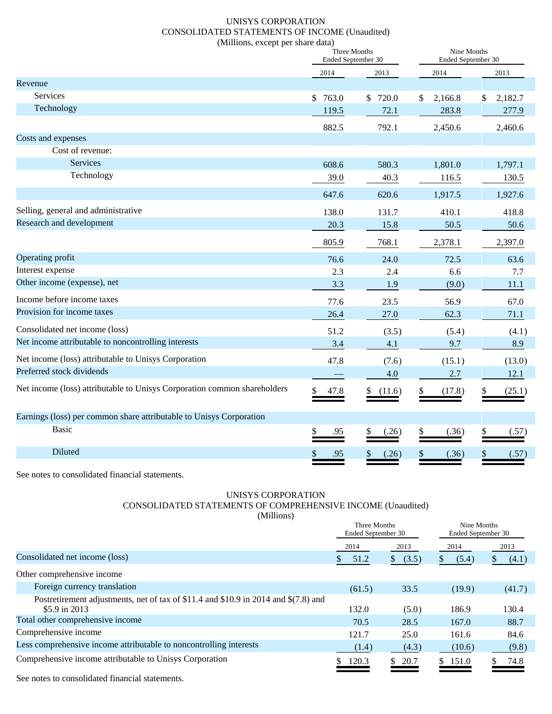# UNISYS CORPORATION CONSOLIDATED STATEMENTS OF INCOME (Unaudited) (Millions, except per share data)

|                                                                          | Three Months<br>Ended September 30 |             | Nine Months<br>Ended September 30 |               |
|--------------------------------------------------------------------------|------------------------------------|-------------|-----------------------------------|---------------|
|                                                                          | 2014<br>2013                       |             |                                   |               |
| Revenue                                                                  |                                    |             |                                   |               |
| Services                                                                 | \$763.0                            | \$720.0     | 2,166.8<br>\$                     | 2,182.7<br>\$ |
| Technology                                                               | 119.5                              | 72.1        | 283.8                             | 277.9         |
|                                                                          | 882.5                              | 792.1       | 2,450.6                           | 2,460.6       |
| Costs and expenses                                                       |                                    |             |                                   |               |
| Cost of revenue:                                                         |                                    |             |                                   |               |
| Services                                                                 | 608.6                              | 580.3       | 1,801.0                           | 1,797.1       |
| Technology                                                               | 39.0                               | 40.3        | 116.5                             | 130.5         |
|                                                                          | 647.6                              | 620.6       | 1,917.5                           | 1,927.6       |
| Selling, general and administrative                                      | 138.0                              | 131.7       | 410.1                             | 418.8         |
| Research and development                                                 | 20.3                               | 15.8        | 50.5                              | 50.6          |
|                                                                          | 805.9                              | 768.1       | 2,378.1                           | 2,397.0       |
| Operating profit                                                         | 76.6                               | 24.0        | 72.5                              | 63.6          |
| Interest expense                                                         | 2.3                                | 2.4         | 6.6                               | 7.7           |
| Other income (expense), net                                              | 3.3                                | 1.9         | (9.0)                             | 11.1          |
| Income before income taxes                                               | 77.6                               | 23.5        | 56.9                              | 67.0          |
| Provision for income taxes                                               | 26.4                               | 27.0        | 62.3                              | 71.1          |
| Consolidated net income (loss)                                           | 51.2                               | (3.5)       | (5.4)                             | (4.1)         |
| Net income attributable to noncontrolling interests                      | 3.4                                | 4.1         | 9.7                               | 8.9           |
| Net income (loss) attributable to Unisys Corporation                     | 47.8                               | (7.6)       | (15.1)                            | (13.0)        |
| Preferred stock dividends                                                |                                    | 4.0         | 2.7                               | 12.1          |
| Net income (loss) attributable to Unisys Corporation common shareholders | 47.8<br>\$                         | (11.6)      | \$<br>(17.8)                      | (25.1)<br>\$  |
| Earnings (loss) per common share attributable to Unisys Corporation      |                                    |             |                                   |               |
| <b>Basic</b>                                                             | .95                                | (.26)       | \$<br>(.36)                       | \$<br>(.57)   |
| Diluted                                                                  | \$<br>.95                          | \$<br>(.26) | \$<br>(.36)                       | \$<br>(.57)   |

See notes to consolidated financial statements.

# UNISYS CORPORATION CONSOLIDATED STATEMENTS OF COMPREHENSIVE INCOME (Unaudited) (Millions)

|                                                                                     | Three Months<br>Ended September 30 |        | Nine Months<br>Ended September 30 |      |        |    |        |
|-------------------------------------------------------------------------------------|------------------------------------|--------|-----------------------------------|------|--------|----|--------|
|                                                                                     | 2014                               |        | 2013                              | 2014 |        |    | 2013   |
| Consolidated net income (loss)                                                      | S.                                 | 51.2   | (3.5)<br>S.                       | S.   | (5.4)  | S. | (4.1)  |
| Other comprehensive income                                                          |                                    |        |                                   |      |        |    |        |
| Foreign currency translation                                                        |                                    | (61.5) | 33.5                              |      | (19.9) |    | (41.7) |
| Postretirement adjustments, net of tax of \$11.4 and \$10.9 in 2014 and \$(7.8) and |                                    |        |                                   |      |        |    |        |
| \$5.9 in $2013$                                                                     |                                    | 132.0  | (5.0)                             |      | 186.9  |    | 130.4  |
| Total other comprehensive income                                                    |                                    | 70.5   | 28.5                              |      | 167.0  |    | 88.7   |
| Comprehensive income                                                                |                                    | 121.7  | 25.0                              |      | 161.6  |    | 84.6   |
| Less comprehensive income attributable to noncontrolling interests                  |                                    | (1.4)  | (4.3)                             |      | (10.6) |    | (9.8)  |
| Comprehensive income attributable to Unisys Corporation                             |                                    | 120.3  | 20.7<br>S.                        | S.   | 151.0  |    | 74.8   |

See notes to consolidated financial statements.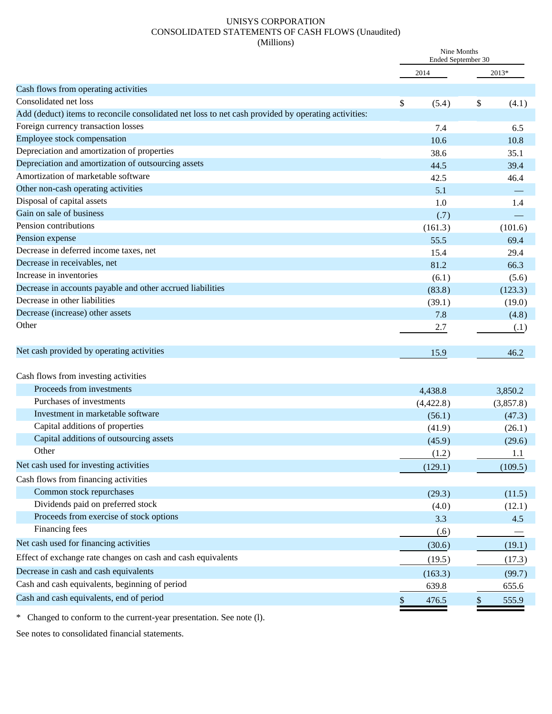# UNISYS CORPORATION CONSOLIDATED STATEMENTS OF CASH FLOWS (Unaudited) (Millions)

|                                                                                                     | Nine Months<br>Ended September 30 |             |  |
|-----------------------------------------------------------------------------------------------------|-----------------------------------|-------------|--|
|                                                                                                     | 2014                              | 2013*       |  |
| Cash flows from operating activities                                                                |                                   |             |  |
| Consolidated net loss                                                                               | \$<br>(5.4)                       | \$<br>(4.1) |  |
| Add (deduct) items to reconcile consolidated net loss to net cash provided by operating activities: |                                   |             |  |
| Foreign currency transaction losses                                                                 | 7.4                               | 6.5         |  |
| Employee stock compensation                                                                         | 10.6                              | 10.8        |  |
| Depreciation and amortization of properties                                                         | 38.6                              | 35.1        |  |
| Depreciation and amortization of outsourcing assets                                                 | 44.5                              | 39.4        |  |
| Amortization of marketable software                                                                 | 42.5                              | 46.4        |  |
| Other non-cash operating activities                                                                 | 5.1                               |             |  |
| Disposal of capital assets                                                                          | 1.0                               | 1.4         |  |
| Gain on sale of business                                                                            | (.7)                              |             |  |
| Pension contributions                                                                               | (161.3)                           | (101.6)     |  |
| Pension expense                                                                                     | 55.5                              | 69.4        |  |
| Decrease in deferred income taxes, net                                                              | 15.4                              | 29.4        |  |
| Decrease in receivables, net                                                                        | 81.2                              | 66.3        |  |
| Increase in inventories                                                                             | (6.1)                             | (5.6)       |  |
| Decrease in accounts payable and other accrued liabilities                                          | (83.8)                            | (123.3)     |  |
| Decrease in other liabilities                                                                       | (39.1)                            | (19.0)      |  |
| Decrease (increase) other assets                                                                    | 7.8                               | (4.8)       |  |
| Other                                                                                               | 2.7                               | (.1)        |  |
| Net cash provided by operating activities                                                           | 15.9                              | 46.2        |  |
| Cash flows from investing activities                                                                |                                   |             |  |
| Proceeds from investments                                                                           | 4,438.8                           | 3,850.2     |  |
| Purchases of investments                                                                            | (4,422.8)                         | (3,857.8)   |  |
| Investment in marketable software                                                                   | (56.1)                            | (47.3)      |  |
| Capital additions of properties                                                                     | (41.9)                            | (26.1)      |  |
| Capital additions of outsourcing assets                                                             | (45.9)                            | (29.6)      |  |
| Other                                                                                               | (1.2)                             | 1.1         |  |
| Net cash used for investing activities                                                              | (129.1)                           | (109.5)     |  |
| Cash flows from financing activities                                                                |                                   |             |  |
| Common stock repurchases                                                                            | (29.3)                            | (11.5)      |  |
| Dividends paid on preferred stock                                                                   | (4.0)                             | (12.1)      |  |
| Proceeds from exercise of stock options                                                             | 3.3                               | 4.5         |  |
| Financing fees                                                                                      | (.6)                              |             |  |
| Net cash used for financing activities                                                              | (30.6)                            | (19.1)      |  |
| Effect of exchange rate changes on cash and cash equivalents                                        |                                   |             |  |
| Decrease in cash and cash equivalents                                                               | (19.5)                            | (17.3)      |  |
| Cash and cash equivalents, beginning of period                                                      | (163.3)                           | (99.7)      |  |
|                                                                                                     | 639.8                             | 655.6       |  |
| Cash and cash equivalents, end of period                                                            | \$<br>476.5                       | \$<br>555.9 |  |

\* Changed to conform to the current-year presentation. See note (l).

See notes to consolidated financial statements.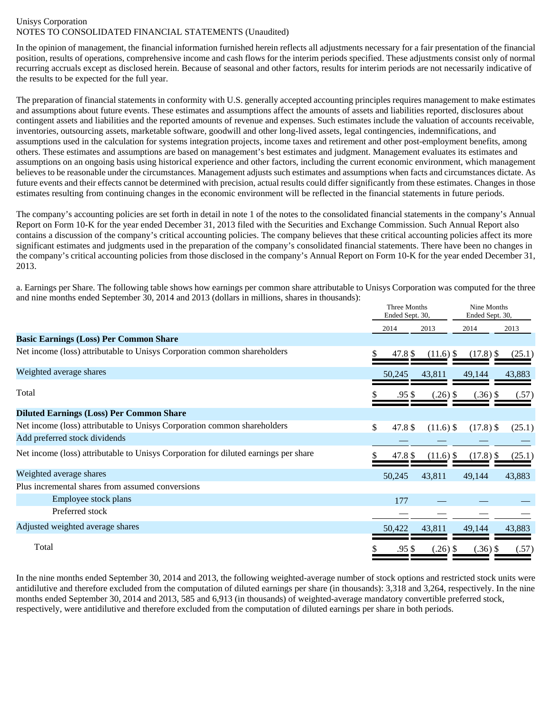# Unisys Corporation NOTES TO CONSOLIDATED FINANCIAL STATEMENTS (Unaudited)

In the opinion of management, the financial information furnished herein reflects all adjustments necessary for a fair presentation of the financial position, results of operations, comprehensive income and cash flows for the interim periods specified. These adjustments consist only of normal recurring accruals except as disclosed herein. Because of seasonal and other factors, results for interim periods are not necessarily indicative of the results to be expected for the full year.

The preparation of financial statements in conformity with U.S. generally accepted accounting principles requires management to make estimates and assumptions about future events. These estimates and assumptions affect the amounts of assets and liabilities reported, disclosures about contingent assets and liabilities and the reported amounts of revenue and expenses. Such estimates include the valuation of accounts receivable, inventories, outsourcing assets, marketable software, goodwill and other long-lived assets, legal contingencies, indemnifications, and assumptions used in the calculation for systems integration projects, income taxes and retirement and other post-employment benefits, among others. These estimates and assumptions are based on management's best estimates and judgment. Management evaluates its estimates and assumptions on an ongoing basis using historical experience and other factors, including the current economic environment, which management believes to be reasonable under the circumstances. Management adjusts such estimates and assumptions when facts and circumstances dictate. As future events and their effects cannot be determined with precision, actual results could differ significantly from these estimates. Changes in those estimates resulting from continuing changes in the economic environment will be reflected in the financial statements in future periods.

The company's accounting policies are set forth in detail in note 1 of the notes to the consolidated financial statements in the company's Annual Report on Form 10-K for the year ended December 31, 2013 filed with the Securities and Exchange Commission. Such Annual Report also contains a discussion of the company's critical accounting policies. The company believes that these critical accounting policies affect its more significant estimates and judgments used in the preparation of the company's consolidated financial statements. There have been no changes in the company's critical accounting policies from those disclosed in the company's Annual Report on Form 10-K for the year ended December 31, 2013.

a. Earnings per Share. The following table shows how earnings per common share attributable to Unisys Corporation was computed for the three and nine months ended September 30, 2014 and 2013 (dollars in millions, shares in thousands):

|                                                                                     | Three Months<br>Ended Sept. 30, |         |             | Nine Months<br>Ended Sept. 30, |        |  |
|-------------------------------------------------------------------------------------|---------------------------------|---------|-------------|--------------------------------|--------|--|
|                                                                                     |                                 | 2014    | 2013        | 2014                           | 2013   |  |
| <b>Basic Earnings (Loss) Per Common Share</b>                                       |                                 |         |             |                                |        |  |
| Net income (loss) attributable to Unisys Corporation common shareholders            |                                 | 47.8 \$ | $(11.6)$ \$ | $(17.8)$ \$                    | (25.1) |  |
| Weighted average shares                                                             |                                 | 50,245  | 43,811      | 49,144                         | 43,883 |  |
| Total                                                                               |                                 | .95 S   | $(.26)$ \$  | $(.36)$ \$                     | (.57)  |  |
| <b>Diluted Earnings (Loss) Per Common Share</b>                                     |                                 |         |             |                                |        |  |
| Net income (loss) attributable to Unisys Corporation common shareholders            | \$                              | 47.8 \$ | $(11.6)$ \$ | $(17.8)$ \$                    | (25.1) |  |
| Add preferred stock dividends                                                       |                                 |         |             |                                |        |  |
| Net income (loss) attributable to Unisys Corporation for diluted earnings per share |                                 | 47.8 \$ | $(11.6)$ \$ | $(17.8)$ \$                    | (25.1) |  |
| Weighted average shares                                                             |                                 | 50,245  | 43,811      | 49,144                         | 43,883 |  |
| Plus incremental shares from assumed conversions                                    |                                 |         |             |                                |        |  |
| Employee stock plans                                                                |                                 | 177     |             |                                |        |  |
| Preferred stock                                                                     |                                 |         |             |                                |        |  |
| Adjusted weighted average shares                                                    |                                 | 50,422  | 43,811      | 49,144                         | 43,883 |  |
| Total                                                                               |                                 | .95 \$  | $(.26)$ \$  | $(.36)$ \$                     | (.57)  |  |

In the nine months ended September 30, 2014 and 2013, the following weighted-average number of stock options and restricted stock units were antidilutive and therefore excluded from the computation of diluted earnings per share (in thousands): 3,318 and 3,264, respectively. In the nine months ended September 30, 2014 and 2013, 585 and 6,913 (in thousands) of weighted-average mandatory convertible preferred stock, respectively, were antidilutive and therefore excluded from the computation of diluted earnings per share in both periods.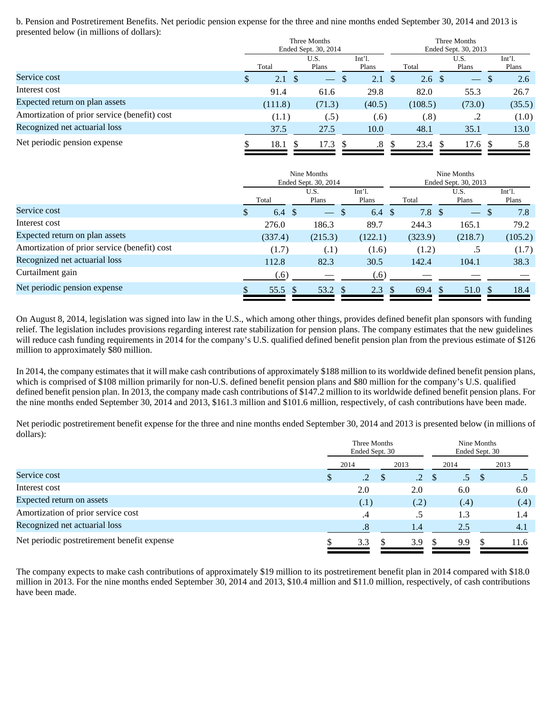b. Pension and Postretirement Benefits. Net periodic pension expense for the three and nine months ended September 30, 2014 and 2013 is presented below (in millions of dollars):

|                                              | Three Months<br>Ended Sept. 30, 2014 |             |                          |                   | Three Months<br>Ended Sept. 30, 2013 |                  |  |               |   |                   |
|----------------------------------------------|--------------------------------------|-------------|--------------------------|-------------------|--------------------------------------|------------------|--|---------------|---|-------------------|
|                                              |                                      | Total       | U.S.<br>Plans            | $Int1$ .<br>Plans |                                      | Total            |  | U.S.<br>Plans |   | $Int1$ .<br>Plans |
| Service cost                                 | S                                    | 2.1<br>- \$ | $\overline{\phantom{0}}$ | 2.1<br>-S         | - \$                                 | 2.6 <sup>°</sup> |  |               | S | 2.6               |
| Interest cost                                |                                      | 91.4        | 61.6                     | 29.8              |                                      | 82.0             |  | 55.3          |   | 26.7              |
| Expected return on plan assets               |                                      | (111.8)     | (71.3)                   | (40.5)            |                                      | (108.5)          |  | (73.0)        |   | (35.5)            |
| Amortization of prior service (benefit) cost |                                      | (1.1)       | (.5)                     | (.6)              |                                      | (.8)             |  | .2            |   | (1.0)             |
| Recognized net actuarial loss                |                                      | 37.5        | 27.5                     | 10.0              |                                      | 48.1             |  | 35.1          |   | 13.0              |
| Net periodic pension expense                 |                                      | 18.1        | 17.3                     | $.8\,$            | -S                                   | 23.4             |  | 17.6          |   | 5.8               |

|                                              |     | Nine Months<br>Ended Sept. 30, 2014 |                          |  | Nine Months<br>Ended Sept. 30, 2013 |                    |                          |                              |  |
|----------------------------------------------|-----|-------------------------------------|--------------------------|--|-------------------------------------|--------------------|--------------------------|------------------------------|--|
|                                              |     | Total                               | U.S.<br>Plans            |  | $Int1$ .<br>Plans                   | Total              | U.S.<br>Plans            | Int <sup>2</sup> 1.<br>Plans |  |
| Service cost                                 | \$. | 6.4 $\sqrt$                         | $\overline{\phantom{m}}$ |  | 6.4<br><sup>\$</sup>                | $7.8\;{\rm\AA}$    | $\overline{\phantom{0}}$ | 7.8<br>-8                    |  |
| Interest cost                                |     | 276.0                               | 186.3                    |  | 89.7                                | 244.3              | 165.1                    | 79.2                         |  |
| Expected return on plan assets               |     | (337.4)                             | (215.3)                  |  | (122.1)                             | (323.9)            | (218.7)                  | (105.2)                      |  |
| Amortization of prior service (benefit) cost |     | (1.7)                               | (.1)                     |  | (1.6)                               | (1.2)              | .5                       | (1.7)                        |  |
| Recognized net actuarial loss                |     | 112.8                               | 82.3                     |  | 30.5                                | 142.4              | 104.1                    | 38.3                         |  |
| Curtailment gain                             |     | (.6)                                |                          |  | (.6)                                |                    |                          |                              |  |
| Net periodic pension expense                 |     | 55.5 \$                             | 53.2 \$                  |  | 2.3<br><sup>\$</sup>                | $69.4 \text{ }$ \$ | 51.0 \$                  | 18.4                         |  |

On August 8, 2014, legislation was signed into law in the U.S., which among other things, provides defined benefit plan sponsors with funding relief. The legislation includes provisions regarding interest rate stabilization for pension plans. The company estimates that the new guidelines will reduce cash funding requirements in 2014 for the company's U.S. qualified defined benefit pension plan from the previous estimate of \$126 million to approximately \$80 million.

In 2014, the company estimates that it will make cash contributions of approximately \$188 million to its worldwide defined benefit pension plans, which is comprised of \$108 million primarily for non-U.S. defined benefit pension plans and \$80 million for the company's U.S. qualified defined benefit pension plan. In 2013, the company made cash contributions of \$147.2 million to its worldwide defined benefit pension plans. For the nine months ended September 30, 2014 and 2013, \$161.3 million and \$101.6 million, respectively, of cash contributions have been made.

Net periodic postretirement benefit expense for the three and nine months ended September 30, 2014 and 2013 is presented below (in millions of dollars): Three Months

|                                             | Three Months<br>Ended Sept. 30 |                 |  | Nine Months<br>Ended Sept. 30 |               |                 |    |      |
|---------------------------------------------|--------------------------------|-----------------|--|-------------------------------|---------------|-----------------|----|------|
|                                             | 2014                           |                 |  | 2013                          |               | 2014            |    | 2013 |
| Service cost                                |                                | $\overline{.2}$ |  | $\overline{.2}$               | <sup>\$</sup> | .5 <sub>7</sub> | -S |      |
| Interest cost                               |                                | 2.0             |  | 2.0                           |               | 6.0             |    | 6.0  |
| Expected return on assets                   |                                | (.1)            |  | (.2)                          |               | (.4)            |    | (.4) |
| Amortization of prior service cost          |                                | .4              |  | .5                            |               | 1.3             |    | 1.4  |
| Recognized net actuarial loss               |                                | $\cdot$ 8       |  | 1.4                           |               | 2.5             |    | 4.1  |
| Net periodic postretirement benefit expense |                                | 3.3             |  | 3.9                           |               | 9.9             |    | 11.6 |

The company expects to make cash contributions of approximately \$19 million to its postretirement benefit plan in 2014 compared with \$18.0 million in 2013. For the nine months ended September 30, 2014 and 2013, \$10.4 million and \$11.0 million, respectively, of cash contributions have been made.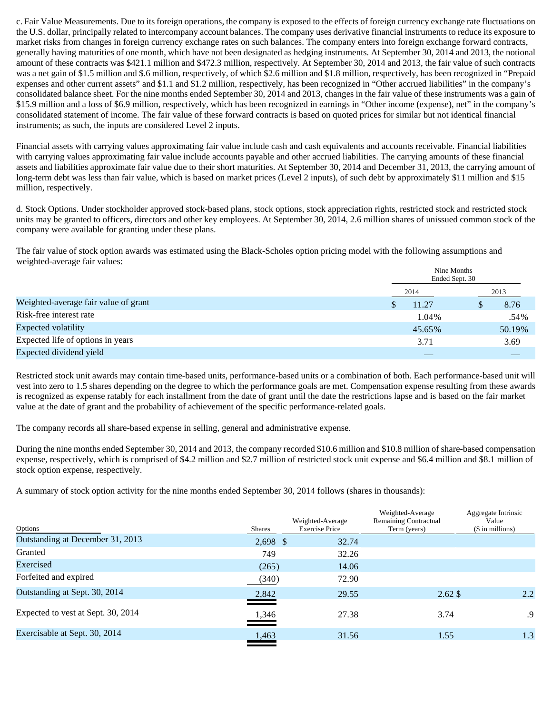c. Fair Value Measurements. Due to its foreign operations, the company is exposed to the effects of foreign currency exchange rate fluctuations on the U.S. dollar, principally related to intercompany account balances. The company uses derivative financial instruments to reduce its exposure to market risks from changes in foreign currency exchange rates on such balances. The company enters into foreign exchange forward contracts, generally having maturities of one month, which have not been designated as hedging instruments. At September 30, 2014 and 2013, the notional amount of these contracts was \$421.1 million and \$472.3 million, respectively. At September 30, 2014 and 2013, the fair value of such contracts was a net gain of \$1.5 million and \$.6 million, respectively, of which \$2.6 million and \$1.8 million, respectively, has been recognized in "Prepaid expenses and other current assets" and \$1.1 and \$1.2 million, respectively, has been recognized in "Other accrued liabilities" in the company's consolidated balance sheet. For the nine months ended September 30, 2014 and 2013, changes in the fair value of these instruments was a gain of \$15.9 million and a loss of \$6.9 million, respectively, which has been recognized in earnings in "Other income (expense), net" in the company's consolidated statement of income. The fair value of these forward contracts is based on quoted prices for similar but not identical financial instruments; as such, the inputs are considered Level 2 inputs.

Financial assets with carrying values approximating fair value include cash and cash equivalents and accounts receivable. Financial liabilities with carrying values approximating fair value include accounts payable and other accrued liabilities. The carrying amounts of these financial assets and liabilities approximate fair value due to their short maturities. At September 30, 2014 and December 31, 2013, the carrying amount of long-term debt was less than fair value, which is based on market prices (Level 2 inputs), of such debt by approximately \$11 million and \$15 million, respectively.

d. Stock Options. Under stockholder approved stock-based plans, stock options, stock appreciation rights, restricted stock and restricted stock units may be granted to officers, directors and other key employees. At September 30, 2014, 2.6 million shares of unissued common stock of the company were available for granting under these plans.

The fair value of stock option awards was estimated using the Black-Scholes option pricing model with the following assumptions and weighted-average fair values:

|                                      | Nine Months<br>Ended Sept. 30 |        |
|--------------------------------------|-------------------------------|--------|
|                                      | 2014                          | 2013   |
| Weighted-average fair value of grant | 11.27                         | 8.76   |
| Risk-free interest rate              | 1.04%                         | .54%   |
| Expected volatility                  | 45.65%                        | 50.19% |
| Expected life of options in years    | 3.71                          | 3.69   |
| Expected dividend yield              |                               |        |

Restricted stock unit awards may contain time-based units, performance-based units or a combination of both. Each performance-based unit will vest into zero to 1.5 shares depending on the degree to which the performance goals are met. Compensation expense resulting from these awards is recognized as expense ratably for each installment from the date of grant until the date the restrictions lapse and is based on the fair market value at the date of grant and the probability of achievement of the specific performance-related goals.

The company records all share-based expense in selling, general and administrative expense.

During the nine months ended September 30, 2014 and 2013, the company recorded \$10.6 million and \$10.8 million of share-based compensation expense, respectively, which is comprised of \$4.2 million and \$2.7 million of restricted stock unit expense and \$6.4 million and \$8.1 million of stock option expense, respectively.

A summary of stock option activity for the nine months ended September 30, 2014 follows (shares in thousands):

| Options                            | Shares     | Weighted-Average<br><b>Exercise Price</b> | Weighted-Average<br><b>Remaining Contractual</b><br>Term (years) | Aggregate Intrinsic<br>Value<br>(\$ in millions) |
|------------------------------------|------------|-------------------------------------------|------------------------------------------------------------------|--------------------------------------------------|
| Outstanding at December 31, 2013   | $2,698$ \$ | 32.74                                     |                                                                  |                                                  |
| Granted                            | 749        | 32.26                                     |                                                                  |                                                  |
| Exercised                          | (265)      | 14.06                                     |                                                                  |                                                  |
| Forfeited and expired              | (340)      | 72.90                                     |                                                                  |                                                  |
| Outstanding at Sept. 30, 2014      | 2,842      | 29.55                                     | $2.62\text{ }$\$$                                                | 2.2                                              |
| Expected to vest at Sept. 30, 2014 | 1,346      | 27.38                                     | 3.74                                                             | .9                                               |
| Exercisable at Sept. 30, 2014      | 1,463      | 31.56                                     | 1.55                                                             | 1.3                                              |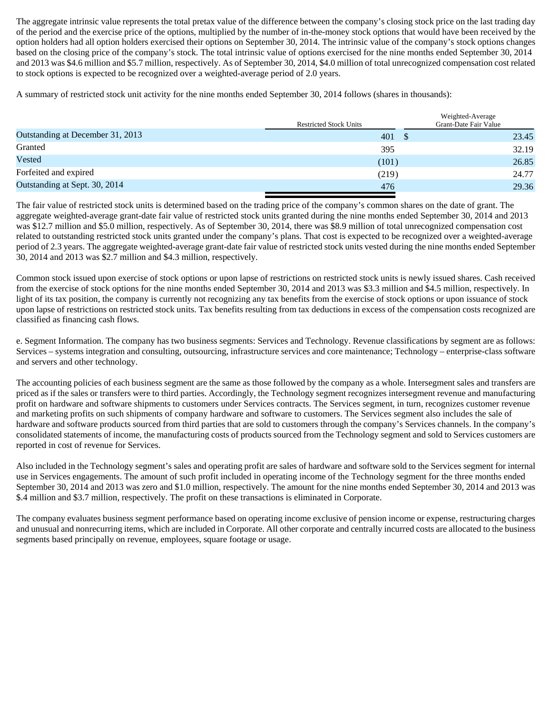The aggregate intrinsic value represents the total pretax value of the difference between the company's closing stock price on the last trading day of the period and the exercise price of the options, multiplied by the number of in-the-money stock options that would have been received by the option holders had all option holders exercised their options on September 30, 2014. The intrinsic value of the company's stock options changes based on the closing price of the company's stock. The total intrinsic value of options exercised for the nine months ended September 30, 2014 and 2013 was \$4.6 million and \$5.7 million, respectively. As of September 30, 2014, \$4.0 million of total unrecognized compensation cost related to stock options is expected to be recognized over a weighted-average period of 2.0 years.

A summary of restricted stock unit activity for the nine months ended September 30, 2014 follows (shares in thousands):

|                                  | <b>Restricted Stock Units</b> | Weighted-Average<br>Grant-Date Fair Value |
|----------------------------------|-------------------------------|-------------------------------------------|
| Outstanding at December 31, 2013 | $401 \quad$ \$                | 23.45                                     |
| Granted                          | 395                           | 32.19                                     |
| Vested                           | (101)                         | 26.85                                     |
| Forfeited and expired            | (219)                         | 24.77                                     |
| Outstanding at Sept. 30, 2014    | 476                           | 29.36                                     |

The fair value of restricted stock units is determined based on the trading price of the company's common shares on the date of grant. The aggregate weighted-average grant-date fair value of restricted stock units granted during the nine months ended September 30, 2014 and 2013 was \$12.7 million and \$5.0 million, respectively. As of September 30, 2014, there was \$8.9 million of total unrecognized compensation cost related to outstanding restricted stock units granted under the company's plans. That cost is expected to be recognized over a weighted-average period of 2.3 years. The aggregate weighted-average grant-date fair value of restricted stock units vested during the nine months ended September 30, 2014 and 2013 was \$2.7 million and \$4.3 million, respectively.

Common stock issued upon exercise of stock options or upon lapse of restrictions on restricted stock units is newly issued shares. Cash received from the exercise of stock options for the nine months ended September 30, 2014 and 2013 was \$3.3 million and \$4.5 million, respectively. In light of its tax position, the company is currently not recognizing any tax benefits from the exercise of stock options or upon issuance of stock upon lapse of restrictions on restricted stock units. Tax benefits resulting from tax deductions in excess of the compensation costs recognized are classified as financing cash flows.

e. Segment Information. The company has two business segments: Services and Technology. Revenue classifications by segment are as follows: Services – systems integration and consulting, outsourcing, infrastructure services and core maintenance; Technology – enterprise-class software and servers and other technology.

The accounting policies of each business segment are the same as those followed by the company as a whole. Intersegment sales and transfers are priced as if the sales or transfers were to third parties. Accordingly, the Technology segment recognizes intersegment revenue and manufacturing profit on hardware and software shipments to customers under Services contracts. The Services segment, in turn, recognizes customer revenue and marketing profits on such shipments of company hardware and software to customers. The Services segment also includes the sale of hardware and software products sourced from third parties that are sold to customers through the company's Services channels. In the company's consolidated statements of income, the manufacturing costs of products sourced from the Technology segment and sold to Services customers are reported in cost of revenue for Services.

Also included in the Technology segment's sales and operating profit are sales of hardware and software sold to the Services segment for internal use in Services engagements. The amount of such profit included in operating income of the Technology segment for the three months ended September 30, 2014 and 2013 was zero and \$1.0 million, respectively. The amount for the nine months ended September 30, 2014 and 2013 was \$.4 million and \$3.7 million, respectively. The profit on these transactions is eliminated in Corporate.

The company evaluates business segment performance based on operating income exclusive of pension income or expense, restructuring charges and unusual and nonrecurring items, which are included in Corporate. All other corporate and centrally incurred costs are allocated to the business segments based principally on revenue, employees, square footage or usage.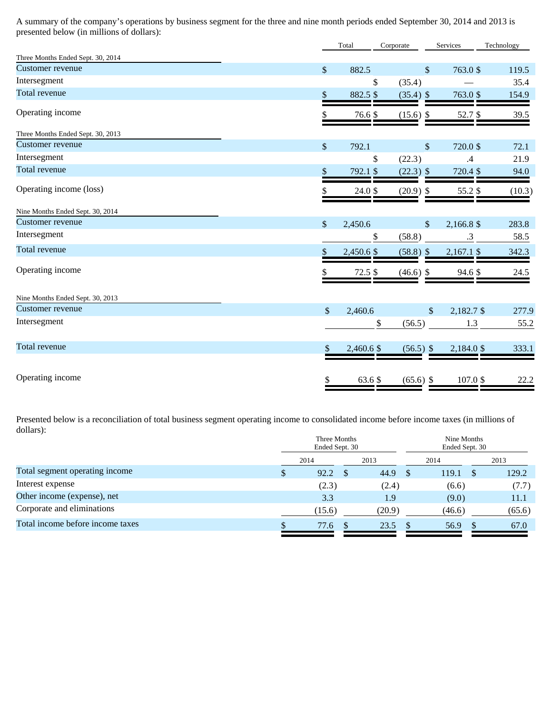A summary of the company's operations by business segment for the three and nine month periods ended September 30, 2014 and 2013 is presented below (in millions of dollars):

|                                   |               | Total      | Corporate                 | Services                  | Technology |
|-----------------------------------|---------------|------------|---------------------------|---------------------------|------------|
| Three Months Ended Sept. 30, 2014 |               |            |                           |                           |            |
| Customer revenue                  | $\mathcal{S}$ | 882.5      | \$                        | 763.0 \$                  | 119.5      |
| Intersegment                      |               | \$         | (35.4)                    |                           | 35.4       |
| Total revenue                     | \$            | 882.5 \$   | $(35.4)$ \$               | 763.0 \$                  | 154.9      |
| Operating income                  |               | 76.6 \$    | $(15.6)$ \$               | 52.7\$                    | 39.5       |
| Three Months Ended Sept. 30, 2013 |               |            |                           |                           |            |
| Customer revenue                  | $\sqrt$       | 792.1      | $\$\,$                    | 720.0 \$                  | 72.1       |
| Intersegment                      |               | \$         | (22.3)                    | .4                        | 21.9       |
| Total revenue                     | \$            | 792.1 \$   | $(22.3)$ \$               | 720.4 \$                  | 94.0       |
| Operating income (loss)           |               | 24.0 \$    | $(20.9)$ \$               | 55.2 \$                   | (10.3)     |
| Nine Months Ended Sept. 30, 2014  |               |            |                           |                           |            |
| Customer revenue                  | $\sqrt$       | 2,450.6    | $\boldsymbol{\mathsf{S}}$ | 2,166.8 \$                | 283.8      |
| Intersegment                      |               | \$         | (58.8)                    | $\cdot$ 3                 | 58.5       |
| <b>Total revenue</b>              | \$            | 2,450.6 \$ | $(58.8)$ \$               | $2,167.1$ \$              | 342.3      |
| Operating income                  |               | 72.5 \$    | $(46.6)$ \$               | 94.6 \$                   | 24.5       |
| Nine Months Ended Sept. 30, 2013  |               |            |                           |                           |            |
| Customer revenue                  | $\mathbb{S}$  | 2,460.6    |                           | $\sqrt{\ }$<br>2,182.7 \$ | 277.9      |
| Intersegment                      |               | \$         | (56.5)                    | 1.3                       | 55.2       |
| Total revenue                     | \$            | 2,460.6 \$ | $(56.5)$ \$               | 2,184.0 \$                | 333.1      |
| Operating income                  | \$            | 63.6 \$    | $(65.6)$ \$               | 107.0 \$                  | 22.2       |

Presented below is a reconciliation of total business segment operating income to consolidated income before income taxes (in millions of dollars):<br>
Three Months

|                                  | Three Months<br>Ended Sept. 30 |        |  | Nine Months<br>Ended Sept. 30 |  |        |          |        |
|----------------------------------|--------------------------------|--------|--|-------------------------------|--|--------|----------|--------|
|                                  |                                | 2014   |  | 2013                          |  | 2014   |          | 2013   |
| Total segment operating income   | Ъ                              | 92.2   |  | 44.9                          |  | 119.1  | <b>S</b> | 129.2  |
| Interest expense                 |                                | (2.3)  |  | (2.4)                         |  | (6.6)  |          | (7.7)  |
| Other income (expense), net      |                                | 3.3    |  | 1.9                           |  | (9.0)  |          | 11.1   |
| Corporate and eliminations       |                                | (15.6) |  | (20.9)                        |  | (46.6) |          | (65.6) |
| Total income before income taxes |                                | 77.6   |  | 23.5                          |  | 56.9   |          | 67.0   |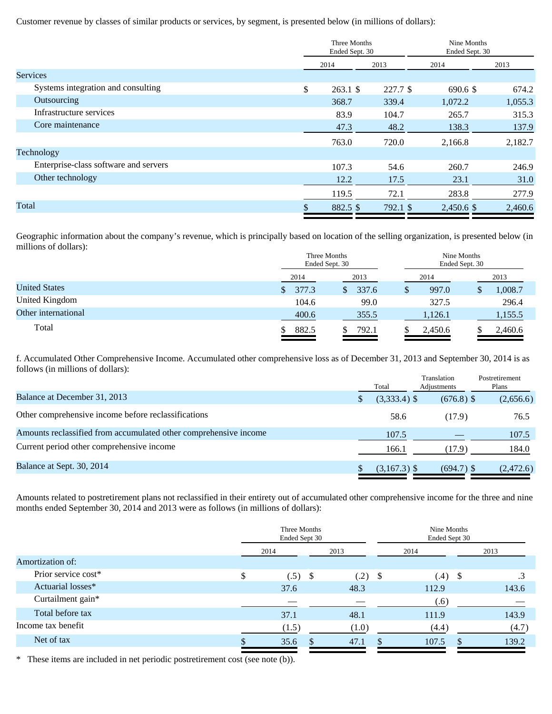Customer revenue by classes of similar products or services, by segment, is presented below (in millions of dollars):

|                                       | Three Months<br>Ended Sept. 30 |          | Nine Months<br>Ended Sept. 30 |         |  |
|---------------------------------------|--------------------------------|----------|-------------------------------|---------|--|
|                                       | 2014                           | 2013     | 2014                          | 2013    |  |
| <b>Services</b>                       |                                |          |                               |         |  |
| Systems integration and consulting    | \$<br>$263.1$ \$               | 227.7 \$ | 690.6 \$                      | 674.2   |  |
| Outsourcing                           | 368.7                          | 339.4    | 1,072.2                       | 1,055.3 |  |
| Infrastructure services               | 83.9                           | 104.7    | 265.7                         | 315.3   |  |
| Core maintenance                      | 47.3                           | 48.2     | 138.3                         | 137.9   |  |
|                                       | 763.0                          | 720.0    | 2,166.8                       | 2,182.7 |  |
| Technology                            |                                |          |                               |         |  |
| Enterprise-class software and servers | 107.3                          | 54.6     | 260.7                         | 246.9   |  |
| Other technology                      | 12.2                           | 17.5     | 23.1                          | 31.0    |  |
|                                       | 119.5                          | 72.1     | 283.8                         | 277.9   |  |
| Total                                 | 882.5 \$                       | 792.1 \$ | 2,450.6 \$                    | 2,460.6 |  |
|                                       |                                |          |                               |         |  |

Geographic information about the company's revenue, which is principally based on location of the selling organization, is presented below (in millions of dollars):

|                      | Three Months<br>Ended Sept. 30 |       | Nine Months<br>Ended Sept. 30 |         |  |  |
|----------------------|--------------------------------|-------|-------------------------------|---------|--|--|
|                      | 2014                           | 2013  | 2014                          | 2013    |  |  |
| <b>United States</b> | 377.3                          | 337.6 | 997.0<br>S                    | 1,008.7 |  |  |
| United Kingdom       | 104.6                          | 99.0  | 327.5                         | 296.4   |  |  |
| Other international  | 400.6                          | 355.5 | 1,126.1                       | 1,155.5 |  |  |
| Total                | 882.5                          | 792.1 | 2,450.6                       | 2,460.6 |  |  |

f. Accumulated Other Comprehensive Income. Accumulated other comprehensive loss as of December 31, 2013 and September 30, 2014 is as follows (in millions of dollars):

|                                                                  | Total          | Translation<br>Adjustments | Postretirement<br>Plans |
|------------------------------------------------------------------|----------------|----------------------------|-------------------------|
| Balance at December 31, 2013                                     | $(3,333.4)$ \$ | $(676.8)$ \$               | (2,656.6)               |
| Other comprehensive income before reclassifications              | 58.6           | (17.9)                     | 76.5                    |
| Amounts reclassified from accumulated other comprehensive income | 107.5          |                            | 107.5                   |
| Current period other comprehensive income                        | 166.1          | (17.9)                     | 184.0                   |
| Balance at Sept. 30, 2014                                        | $(3,167.3)$ \$ | $(694.7)$ \$               | (2,472.6)               |

Amounts related to postretirement plans not reclassified in their entirety out of accumulated other comprehensive income for the three and nine months ended September 30, 2014 and 2013 were as follows (in millions of dollars):

| Three Months<br>Ended Sept 30 |       |      |       | Nine Months<br>Ended Sept 30 |       |  |       |  |      |
|-------------------------------|-------|------|-------|------------------------------|-------|--|-------|--|------|
|                               |       |      | 2013  |                              | 2014  |  |       |  | 2013 |
|                               |       |      |       |                              |       |  |       |  |      |
| \$                            |       |      | (.2)  |                              |       |  | .3    |  |      |
|                               | 37.6  |      | 48.3  |                              | 112.9 |  | 143.6 |  |      |
|                               |       |      | _     |                              | (.6)  |  |       |  |      |
|                               | 37.1  |      | 48.1  |                              | 111.9 |  | 143.9 |  |      |
|                               | (1.5) |      | (1.0) |                              | (4.4) |  | (4.7) |  |      |
|                               | 35.6  |      | 47.1  |                              | 107.5 |  | 139.2 |  |      |
|                               |       | 2014 |       |                              | - \$  |  |       |  |      |

\* These items are included in net periodic postretirement cost (see note (b)).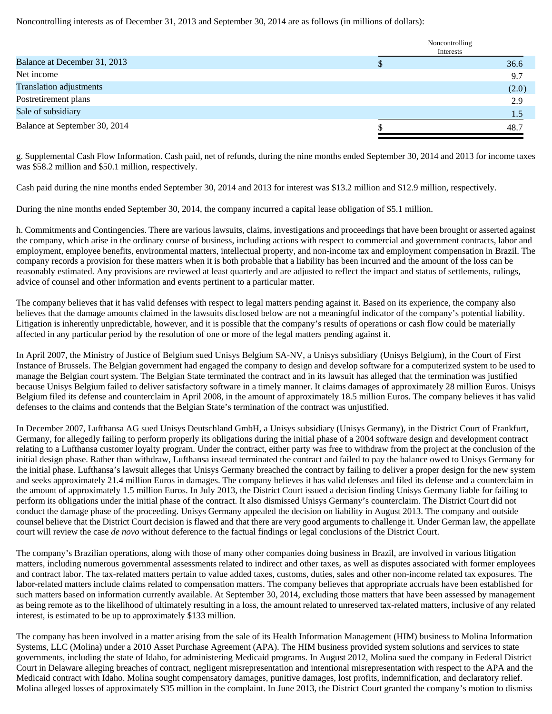Noncontrolling interests as of December 31, 2013 and September 30, 2014 are as follows (in millions of dollars):

|                                | Noncontrolling<br>Interests |
|--------------------------------|-----------------------------|
| Balance at December 31, 2013   | 36.6                        |
| Net income                     | 9.7                         |
| <b>Translation adjustments</b> | (2.0)                       |
| Postretirement plans           | 2.9                         |
| Sale of subsidiary             | 1.5                         |
| Balance at September 30, 2014  | 48.7                        |

g. Supplemental Cash Flow Information. Cash paid, net of refunds, during the nine months ended September 30, 2014 and 2013 for income taxes was \$58.2 million and \$50.1 million, respectively.

Cash paid during the nine months ended September 30, 2014 and 2013 for interest was \$13.2 million and \$12.9 million, respectively.

During the nine months ended September 30, 2014, the company incurred a capital lease obligation of \$5.1 million.

h. Commitments and Contingencies. There are various lawsuits, claims, investigations and proceedings that have been brought or asserted against the company, which arise in the ordinary course of business, including actions with respect to commercial and government contracts, labor and employment, employee benefits, environmental matters, intellectual property, and non-income tax and employment compensation in Brazil. The company records a provision for these matters when it is both probable that a liability has been incurred and the amount of the loss can be reasonably estimated. Any provisions are reviewed at least quarterly and are adjusted to reflect the impact and status of settlements, rulings, advice of counsel and other information and events pertinent to a particular matter.

The company believes that it has valid defenses with respect to legal matters pending against it. Based on its experience, the company also believes that the damage amounts claimed in the lawsuits disclosed below are not a meaningful indicator of the company's potential liability. Litigation is inherently unpredictable, however, and it is possible that the company's results of operations or cash flow could be materially affected in any particular period by the resolution of one or more of the legal matters pending against it.

In April 2007, the Ministry of Justice of Belgium sued Unisys Belgium SA-NV, a Unisys subsidiary (Unisys Belgium), in the Court of First Instance of Brussels. The Belgian government had engaged the company to design and develop software for a computerized system to be used to manage the Belgian court system. The Belgian State terminated the contract and in its lawsuit has alleged that the termination was justified because Unisys Belgium failed to deliver satisfactory software in a timely manner. It claims damages of approximately 28 million Euros. Unisys Belgium filed its defense and counterclaim in April 2008, in the amount of approximately 18.5 million Euros. The company believes it has valid defenses to the claims and contends that the Belgian State's termination of the contract was unjustified.

In December 2007, Lufthansa AG sued Unisys Deutschland GmbH, a Unisys subsidiary (Unisys Germany), in the District Court of Frankfurt, Germany, for allegedly failing to perform properly its obligations during the initial phase of a 2004 software design and development contract relating to a Lufthansa customer loyalty program. Under the contract, either party was free to withdraw from the project at the conclusion of the initial design phase. Rather than withdraw, Lufthansa instead terminated the contract and failed to pay the balance owed to Unisys Germany for the initial phase. Lufthansa's lawsuit alleges that Unisys Germany breached the contract by failing to deliver a proper design for the new system and seeks approximately 21.4 million Euros in damages. The company believes it has valid defenses and filed its defense and a counterclaim in the amount of approximately 1.5 million Euros. In July 2013, the District Court issued a decision finding Unisys Germany liable for failing to perform its obligations under the initial phase of the contract. It also dismissed Unisys Germany's counterclaim. The District Court did not conduct the damage phase of the proceeding. Unisys Germany appealed the decision on liability in August 2013. The company and outside counsel believe that the District Court decision is flawed and that there are very good arguments to challenge it. Under German law, the appellate court will review the case *de novo* without deference to the factual findings or legal conclusions of the District Court.

The company's Brazilian operations, along with those of many other companies doing business in Brazil, are involved in various litigation matters, including numerous governmental assessments related to indirect and other taxes, as well as disputes associated with former employees and contract labor. The tax-related matters pertain to value added taxes, customs, duties, sales and other non-income related tax exposures. The labor-related matters include claims related to compensation matters. The company believes that appropriate accruals have been established for such matters based on information currently available. At September 30, 2014, excluding those matters that have been assessed by management as being remote as to the likelihood of ultimately resulting in a loss, the amount related to unreserved tax-related matters, inclusive of any related interest, is estimated to be up to approximately \$133 million.

The company has been involved in a matter arising from the sale of its Health Information Management (HIM) business to Molina Information Systems, LLC (Molina) under a 2010 Asset Purchase Agreement (APA). The HIM business provided system solutions and services to state governments, including the state of Idaho, for administering Medicaid programs. In August 2012, Molina sued the company in Federal District Court in Delaware alleging breaches of contract, negligent misrepresentation and intentional misrepresentation with respect to the APA and the Medicaid contract with Idaho. Molina sought compensatory damages, punitive damages, lost profits, indemnification, and declaratory relief. Molina alleged losses of approximately \$35 million in the complaint. In June 2013, the District Court granted the company's motion to dismiss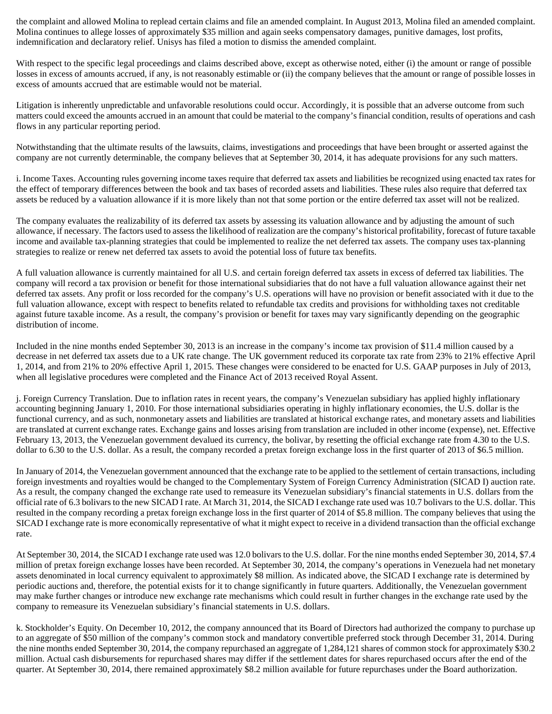the complaint and allowed Molina to replead certain claims and file an amended complaint. In August 2013, Molina filed an amended complaint. Molina continues to allege losses of approximately \$35 million and again seeks compensatory damages, punitive damages, lost profits, indemnification and declaratory relief. Unisys has filed a motion to dismiss the amended complaint.

With respect to the specific legal proceedings and claims described above, except as otherwise noted, either (i) the amount or range of possible losses in excess of amounts accrued, if any, is not reasonably estimable or (ii) the company believes that the amount or range of possible losses in excess of amounts accrued that are estimable would not be material.

Litigation is inherently unpredictable and unfavorable resolutions could occur. Accordingly, it is possible that an adverse outcome from such matters could exceed the amounts accrued in an amount that could be material to the company's financial condition, results of operations and cash flows in any particular reporting period.

Notwithstanding that the ultimate results of the lawsuits, claims, investigations and proceedings that have been brought or asserted against the company are not currently determinable, the company believes that at September 30, 2014, it has adequate provisions for any such matters.

i. Income Taxes. Accounting rules governing income taxes require that deferred tax assets and liabilities be recognized using enacted tax rates for the effect of temporary differences between the book and tax bases of recorded assets and liabilities. These rules also require that deferred tax assets be reduced by a valuation allowance if it is more likely than not that some portion or the entire deferred tax asset will not be realized.

The company evaluates the realizability of its deferred tax assets by assessing its valuation allowance and by adjusting the amount of such allowance, if necessary. The factors used to assess the likelihood of realization are the company's historical profitability, forecast of future taxable income and available tax-planning strategies that could be implemented to realize the net deferred tax assets. The company uses tax-planning strategies to realize or renew net deferred tax assets to avoid the potential loss of future tax benefits.

A full valuation allowance is currently maintained for all U.S. and certain foreign deferred tax assets in excess of deferred tax liabilities. The company will record a tax provision or benefit for those international subsidiaries that do not have a full valuation allowance against their net deferred tax assets. Any profit or loss recorded for the company's U.S. operations will have no provision or benefit associated with it due to the full valuation allowance, except with respect to benefits related to refundable tax credits and provisions for withholding taxes not creditable against future taxable income. As a result, the company's provision or benefit for taxes may vary significantly depending on the geographic distribution of income.

Included in the nine months ended September 30, 2013 is an increase in the company's income tax provision of \$11.4 million caused by a decrease in net deferred tax assets due to a UK rate change. The UK government reduced its corporate tax rate from 23% to 21% effective April 1, 2014, and from 21% to 20% effective April 1, 2015. These changes were considered to be enacted for U.S. GAAP purposes in July of 2013, when all legislative procedures were completed and the Finance Act of 2013 received Royal Assent.

j. Foreign Currency Translation. Due to inflation rates in recent years, the company's Venezuelan subsidiary has applied highly inflationary accounting beginning January 1, 2010. For those international subsidiaries operating in highly inflationary economies, the U.S. dollar is the functional currency, and as such, nonmonetary assets and liabilities are translated at historical exchange rates, and monetary assets and liabilities are translated at current exchange rates. Exchange gains and losses arising from translation are included in other income (expense), net. Effective February 13, 2013, the Venezuelan government devalued its currency, the bolivar, by resetting the official exchange rate from 4.30 to the U.S. dollar to 6.30 to the U.S. dollar. As a result, the company recorded a pretax foreign exchange loss in the first quarter of 2013 of \$6.5 million.

In January of 2014, the Venezuelan government announced that the exchange rate to be applied to the settlement of certain transactions, including foreign investments and royalties would be changed to the Complementary System of Foreign Currency Administration (SICAD I) auction rate. As a result, the company changed the exchange rate used to remeasure its Venezuelan subsidiary's financial statements in U.S. dollars from the official rate of 6.3 bolivars to the new SICAD I rate. At March 31, 2014, the SICAD I exchange rate used was 10.7 bolivars to the U.S. dollar. This resulted in the company recording a pretax foreign exchange loss in the first quarter of 2014 of \$5.8 million. The company believes that using the SICAD I exchange rate is more economically representative of what it might expect to receive in a dividend transaction than the official exchange rate.

At September 30, 2014, the SICAD I exchange rate used was 12.0 bolivars to the U.S. dollar. For the nine months ended September 30, 2014, \$7.4 million of pretax foreign exchange losses have been recorded. At September 30, 2014, the company's operations in Venezuela had net monetary assets denominated in local currency equivalent to approximately \$8 million. As indicated above, the SICAD I exchange rate is determined by periodic auctions and, therefore, the potential exists for it to change significantly in future quarters. Additionally, the Venezuelan government may make further changes or introduce new exchange rate mechanisms which could result in further changes in the exchange rate used by the company to remeasure its Venezuelan subsidiary's financial statements in U.S. dollars.

k. Stockholder's Equity. On December 10, 2012, the company announced that its Board of Directors had authorized the company to purchase up to an aggregate of \$50 million of the company's common stock and mandatory convertible preferred stock through December 31, 2014. During the nine months ended September 30, 2014, the company repurchased an aggregate of 1,284,121 shares of common stock for approximately \$30.2 million. Actual cash disbursements for repurchased shares may differ if the settlement dates for shares repurchased occurs after the end of the quarter. At September 30, 2014, there remained approximately \$8.2 million available for future repurchases under the Board authorization.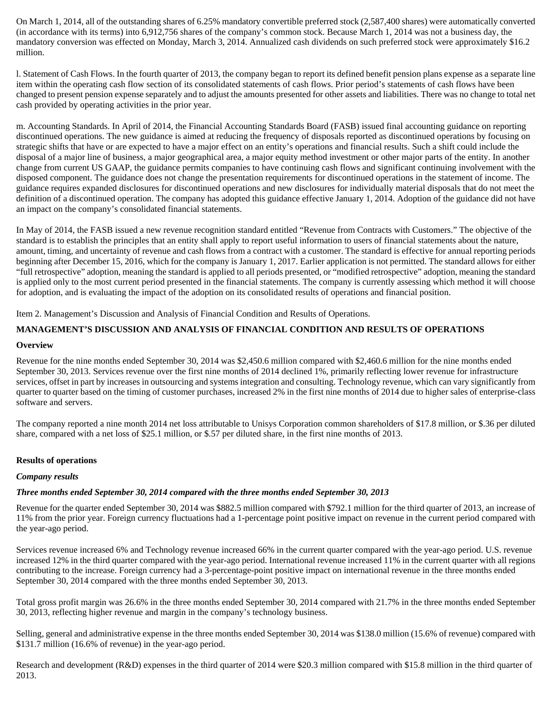On March 1, 2014, all of the outstanding shares of 6.25% mandatory convertible preferred stock (2,587,400 shares) were automatically converted (in accordance with its terms) into 6,912,756 shares of the company's common stock. Because March 1, 2014 was not a business day, the mandatory conversion was effected on Monday, March 3, 2014. Annualized cash dividends on such preferred stock were approximately \$16.2 million.

l. Statement of Cash Flows. In the fourth quarter of 2013, the company began to report its defined benefit pension plans expense as a separate line item within the operating cash flow section of its consolidated statements of cash flows. Prior period's statements of cash flows have been changed to present pension expense separately and to adjust the amounts presented for other assets and liabilities. There was no change to total net cash provided by operating activities in the prior year.

m. Accounting Standards. In April of 2014, the Financial Accounting Standards Board (FASB) issued final accounting guidance on reporting discontinued operations. The new guidance is aimed at reducing the frequency of disposals reported as discontinued operations by focusing on strategic shifts that have or are expected to have a major effect on an entity's operations and financial results. Such a shift could include the disposal of a major line of business, a major geographical area, a major equity method investment or other major parts of the entity. In another change from current US GAAP, the guidance permits companies to have continuing cash flows and significant continuing involvement with the disposed component. The guidance does not change the presentation requirements for discontinued operations in the statement of income. The guidance requires expanded disclosures for discontinued operations and new disclosures for individually material disposals that do not meet the definition of a discontinued operation. The company has adopted this guidance effective January 1, 2014. Adoption of the guidance did not have an impact on the company's consolidated financial statements.

In May of 2014, the FASB issued a new revenue recognition standard entitled "Revenue from Contracts with Customers." The objective of the standard is to establish the principles that an entity shall apply to report useful information to users of financial statements about the nature, amount, timing, and uncertainty of revenue and cash flows from a contract with a customer. The standard is effective for annual reporting periods beginning after December 15, 2016, which for the company is January 1, 2017. Earlier application is not permitted. The standard allows for either "full retrospective" adoption, meaning the standard is applied to all periods presented, or "modified retrospective" adoption, meaning the standard is applied only to the most current period presented in the financial statements. The company is currently assessing which method it will choose for adoption, and is evaluating the impact of the adoption on its consolidated results of operations and financial position.

Item 2. Management's Discussion and Analysis of Financial Condition and Results of Operations.

# **MANAGEMENT'S DISCUSSION AND ANALYSIS OF FINANCIAL CONDITION AND RESULTS OF OPERATIONS**

# **Overview**

Revenue for the nine months ended September 30, 2014 was \$2,450.6 million compared with \$2,460.6 million for the nine months ended September 30, 2013. Services revenue over the first nine months of 2014 declined 1%, primarily reflecting lower revenue for infrastructure services, offset in part by increases in outsourcing and systems integration and consulting. Technology revenue, which can vary significantly from quarter to quarter based on the timing of customer purchases, increased 2% in the first nine months of 2014 due to higher sales of enterprise-class software and servers.

The company reported a nine month 2014 net loss attributable to Unisys Corporation common shareholders of \$17.8 million, or \$.36 per diluted share, compared with a net loss of \$25.1 million, or \$.57 per diluted share, in the first nine months of 2013.

# **Results of operations**

# *Company results*

# *Three months ended September 30, 2014 compared with the three months ended September 30, 2013*

Revenue for the quarter ended September 30, 2014 was \$882.5 million compared with \$792.1 million for the third quarter of 2013, an increase of 11% from the prior year. Foreign currency fluctuations had a 1-percentage point positive impact on revenue in the current period compared with the year-ago period.

Services revenue increased 6% and Technology revenue increased 66% in the current quarter compared with the year-ago period. U.S. revenue increased 12% in the third quarter compared with the year-ago period. International revenue increased 11% in the current quarter with all regions contributing to the increase. Foreign currency had a 3-percentage-point positive impact on international revenue in the three months ended September 30, 2014 compared with the three months ended September 30, 2013.

Total gross profit margin was 26.6% in the three months ended September 30, 2014 compared with 21.7% in the three months ended September 30, 2013, reflecting higher revenue and margin in the company's technology business.

Selling, general and administrative expense in the three months ended September 30, 2014 was \$138.0 million (15.6% of revenue) compared with \$131.7 million (16.6% of revenue) in the year-ago period.

Research and development (R&D) expenses in the third quarter of 2014 were \$20.3 million compared with \$15.8 million in the third quarter of 2013.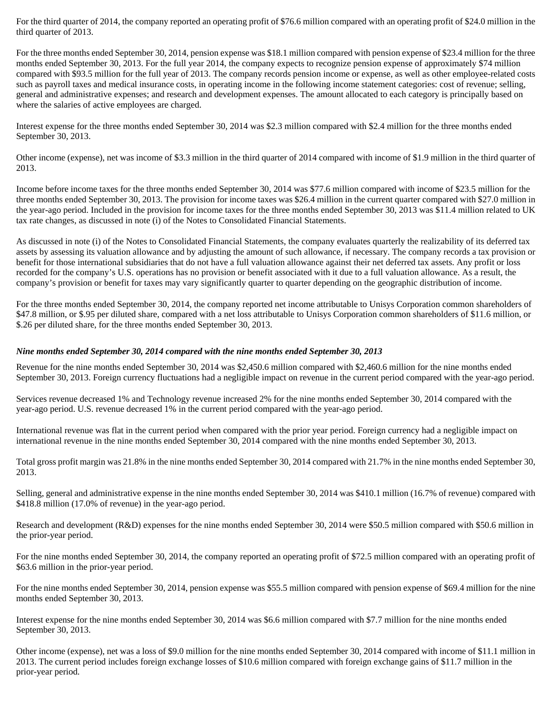For the third quarter of 2014, the company reported an operating profit of \$76.6 million compared with an operating profit of \$24.0 million in the third quarter of 2013.

For the three months ended September 30, 2014, pension expense was \$18.1 million compared with pension expense of \$23.4 million for the three months ended September 30, 2013. For the full year 2014, the company expects to recognize pension expense of approximately \$74 million compared with \$93.5 million for the full year of 2013. The company records pension income or expense, as well as other employee-related costs such as payroll taxes and medical insurance costs, in operating income in the following income statement categories: cost of revenue; selling, general and administrative expenses; and research and development expenses. The amount allocated to each category is principally based on where the salaries of active employees are charged.

Interest expense for the three months ended September 30, 2014 was \$2.3 million compared with \$2.4 million for the three months ended September 30, 2013.

Other income (expense), net was income of \$3.3 million in the third quarter of 2014 compared with income of \$1.9 million in the third quarter of 2013.

Income before income taxes for the three months ended September 30, 2014 was \$77.6 million compared with income of \$23.5 million for the three months ended September 30, 2013. The provision for income taxes was \$26.4 million in the current quarter compared with \$27.0 million in the year-ago period. Included in the provision for income taxes for the three months ended September 30, 2013 was \$11.4 million related to UK tax rate changes, as discussed in note (i) of the Notes to Consolidated Financial Statements.

As discussed in note (i) of the Notes to Consolidated Financial Statements, the company evaluates quarterly the realizability of its deferred tax assets by assessing its valuation allowance and by adjusting the amount of such allowance, if necessary. The company records a tax provision or benefit for those international subsidiaries that do not have a full valuation allowance against their net deferred tax assets. Any profit or loss recorded for the company's U.S. operations has no provision or benefit associated with it due to a full valuation allowance. As a result, the company's provision or benefit for taxes may vary significantly quarter to quarter depending on the geographic distribution of income.

For the three months ended September 30, 2014, the company reported net income attributable to Unisys Corporation common shareholders of \$47.8 million, or \$.95 per diluted share, compared with a net loss attributable to Unisys Corporation common shareholders of \$11.6 million, or \$.26 per diluted share, for the three months ended September 30, 2013.

#### *Nine months ended September 30, 2014 compared with the nine months ended September 30, 2013*

Revenue for the nine months ended September 30, 2014 was \$2,450.6 million compared with \$2,460.6 million for the nine months ended September 30, 2013. Foreign currency fluctuations had a negligible impact on revenue in the current period compared with the year-ago period.

Services revenue decreased 1% and Technology revenue increased 2% for the nine months ended September 30, 2014 compared with the year-ago period. U.S. revenue decreased 1% in the current period compared with the year-ago period.

International revenue was flat in the current period when compared with the prior year period. Foreign currency had a negligible impact on international revenue in the nine months ended September 30, 2014 compared with the nine months ended September 30, 2013.

Total gross profit margin was 21.8% in the nine months ended September 30, 2014 compared with 21.7% in the nine months ended September 30, 2013.

Selling, general and administrative expense in the nine months ended September 30, 2014 was \$410.1 million (16.7% of revenue) compared with \$418.8 million (17.0% of revenue) in the year-ago period.

Research and development (R&D) expenses for the nine months ended September 30, 2014 were \$50.5 million compared with \$50.6 million in the prior-year period.

For the nine months ended September 30, 2014, the company reported an operating profit of \$72.5 million compared with an operating profit of \$63.6 million in the prior-year period.

For the nine months ended September 30, 2014, pension expense was \$55.5 million compared with pension expense of \$69.4 million for the nine months ended September 30, 2013.

Interest expense for the nine months ended September 30, 2014 was \$6.6 million compared with \$7.7 million for the nine months ended September 30, 2013.

Other income (expense), net was a loss of \$9.0 million for the nine months ended September 30, 2014 compared with income of \$11.1 million in 2013. The current period includes foreign exchange losses of \$10.6 million compared with foreign exchange gains of \$11.7 million in the prior-year period.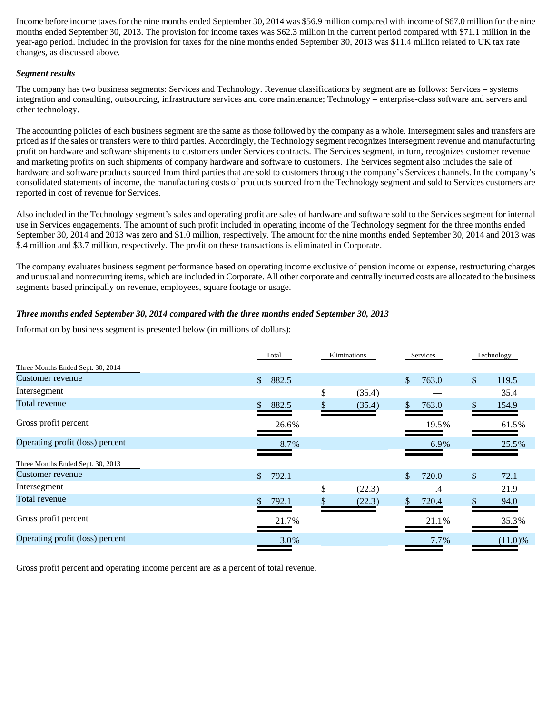Income before income taxes for the nine months ended September 30, 2014 was \$56.9 million compared with income of \$67.0 million for the nine months ended September 30, 2013. The provision for income taxes was \$62.3 million in the current period compared with \$71.1 million in the year-ago period. Included in the provision for taxes for the nine months ended September 30, 2013 was \$11.4 million related to UK tax rate changes, as discussed above.

#### *Segment results*

The company has two business segments: Services and Technology. Revenue classifications by segment are as follows: Services – systems integration and consulting, outsourcing, infrastructure services and core maintenance; Technology – enterprise-class software and servers and other technology.

The accounting policies of each business segment are the same as those followed by the company as a whole. Intersegment sales and transfers are priced as if the sales or transfers were to third parties. Accordingly, the Technology segment recognizes intersegment revenue and manufacturing profit on hardware and software shipments to customers under Services contracts. The Services segment, in turn, recognizes customer revenue and marketing profits on such shipments of company hardware and software to customers. The Services segment also includes the sale of hardware and software products sourced from third parties that are sold to customers through the company's Services channels. In the company's consolidated statements of income, the manufacturing costs of products sourced from the Technology segment and sold to Services customers are reported in cost of revenue for Services.

Also included in the Technology segment's sales and operating profit are sales of hardware and software sold to the Services segment for internal use in Services engagements. The amount of such profit included in operating income of the Technology segment for the three months ended September 30, 2014 and 2013 was zero and \$1.0 million, respectively. The amount for the nine months ended September 30, 2014 and 2013 was \$.4 million and \$3.7 million, respectively. The profit on these transactions is eliminated in Corporate.

The company evaluates business segment performance based on operating income exclusive of pension income or expense, restructuring charges and unusual and nonrecurring items, which are included in Corporate. All other corporate and centrally incurred costs are allocated to the business segments based principally on revenue, employees, square footage or usage.

# *Three months ended September 30, 2014 compared with the three months ended September 30, 2013*

Information by business segment is presented below (in millions of dollars):

|                                   | Total                 | Eliminations | Services    |              | Technology |
|-----------------------------------|-----------------------|--------------|-------------|--------------|------------|
| Three Months Ended Sept. 30, 2014 |                       |              |             |              |            |
| Customer revenue                  | $\mathbb{S}$<br>882.5 |              | \$<br>763.0 | \$           | 119.5      |
| Intersegment                      |                       | \$<br>(35.4) |             |              | 35.4       |
| Total revenue                     | 882.5                 | \$<br>(35.4) | \$<br>763.0 | S.           | 154.9      |
| Gross profit percent              | 26.6%                 |              | 19.5%       |              | 61.5%      |
| Operating profit (loss) percent   | 8.7%                  |              | 6.9%        |              | 25.5%      |
| Three Months Ended Sept. 30, 2013 |                       |              |             |              |            |
| Customer revenue                  | 792.1<br>$\mathbb{S}$ |              | \$<br>720.0 | $\mathbb{S}$ | 72.1       |
| Intersegment                      |                       | \$<br>(22.3) | .4          |              | 21.9       |
| Total revenue                     | 792.1                 | (22.3)       | \$<br>720.4 | \$           | 94.0       |
| Gross profit percent              | 21.7%                 |              | 21.1%       |              | 35.3%      |
| Operating profit (loss) percent   | 3.0%                  |              | 7.7%        |              | (11.0)%    |
|                                   |                       |              |             |              |            |

Gross profit percent and operating income percent are as a percent of total revenue.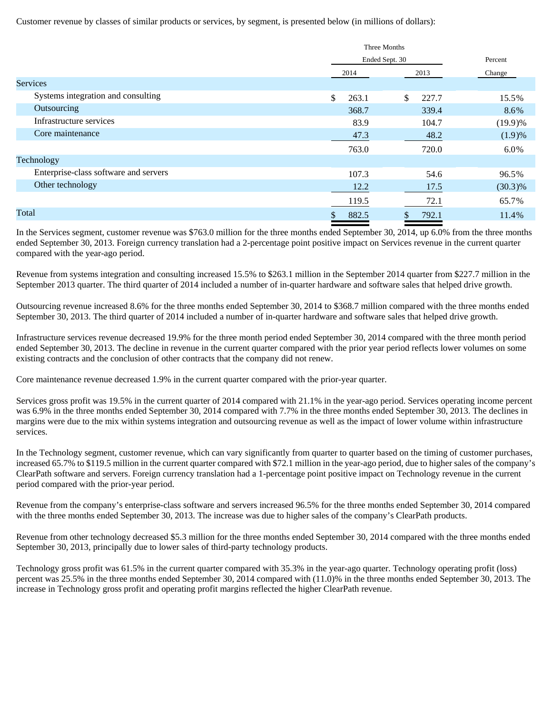Customer revenue by classes of similar products or services, by segment, is presented below (in millions of dollars):

|                                       | Three Months   |             |            |  |
|---------------------------------------|----------------|-------------|------------|--|
|                                       | Ended Sept. 30 |             | Percent    |  |
|                                       | 2014           | 2013        | Change     |  |
| <b>Services</b>                       |                |             |            |  |
| Systems integration and consulting    | \$<br>263.1    | \$<br>227.7 | 15.5%      |  |
| Outsourcing                           | 368.7          | 339.4       | 8.6%       |  |
| Infrastructure services               | 83.9           | 104.7       | (19.9)%    |  |
| Core maintenance                      | 47.3           | 48.2        | (1.9)%     |  |
|                                       | 763.0          | 720.0       | 6.0%       |  |
| Technology                            |                |             |            |  |
| Enterprise-class software and servers | 107.3          | 54.6        | 96.5%      |  |
| Other technology                      | 12.2           | 17.5        | $(30.3)\%$ |  |
|                                       | 119.5          | 72.1        | 65.7%      |  |
| Total                                 | 882.5<br>Лb.   | 792.1       | 11.4%      |  |

In the Services segment, customer revenue was \$763.0 million for the three months ended September 30, 2014, up 6.0% from the three months ended September 30, 2013. Foreign currency translation had a 2-percentage point positive impact on Services revenue in the current quarter compared with the year-ago period.

Revenue from systems integration and consulting increased 15.5% to \$263.1 million in the September 2014 quarter from \$227.7 million in the September 2013 quarter. The third quarter of 2014 included a number of in-quarter hardware and software sales that helped drive growth.

Outsourcing revenue increased 8.6% for the three months ended September 30, 2014 to \$368.7 million compared with the three months ended September 30, 2013. The third quarter of 2014 included a number of in-quarter hardware and software sales that helped drive growth.

Infrastructure services revenue decreased 19.9% for the three month period ended September 30, 2014 compared with the three month period ended September 30, 2013. The decline in revenue in the current quarter compared with the prior year period reflects lower volumes on some existing contracts and the conclusion of other contracts that the company did not renew.

Core maintenance revenue decreased 1.9% in the current quarter compared with the prior-year quarter.

Services gross profit was 19.5% in the current quarter of 2014 compared with 21.1% in the year-ago period. Services operating income percent was 6.9% in the three months ended September 30, 2014 compared with 7.7% in the three months ended September 30, 2013. The declines in margins were due to the mix within systems integration and outsourcing revenue as well as the impact of lower volume within infrastructure services.

In the Technology segment, customer revenue, which can vary significantly from quarter to quarter based on the timing of customer purchases, increased 65.7% to \$119.5 million in the current quarter compared with \$72.1 million in the year-ago period, due to higher sales of the company's ClearPath software and servers. Foreign currency translation had a 1-percentage point positive impact on Technology revenue in the current period compared with the prior-year period.

Revenue from the company's enterprise-class software and servers increased 96.5% for the three months ended September 30, 2014 compared with the three months ended September 30, 2013. The increase was due to higher sales of the company's ClearPath products.

Revenue from other technology decreased \$5.3 million for the three months ended September 30, 2014 compared with the three months ended September 30, 2013, principally due to lower sales of third-party technology products.

Technology gross profit was 61.5% in the current quarter compared with 35.3% in the year-ago quarter. Technology operating profit (loss) percent was 25.5% in the three months ended September 30, 2014 compared with (11.0)% in the three months ended September 30, 2013. The increase in Technology gross profit and operating profit margins reflected the higher ClearPath revenue.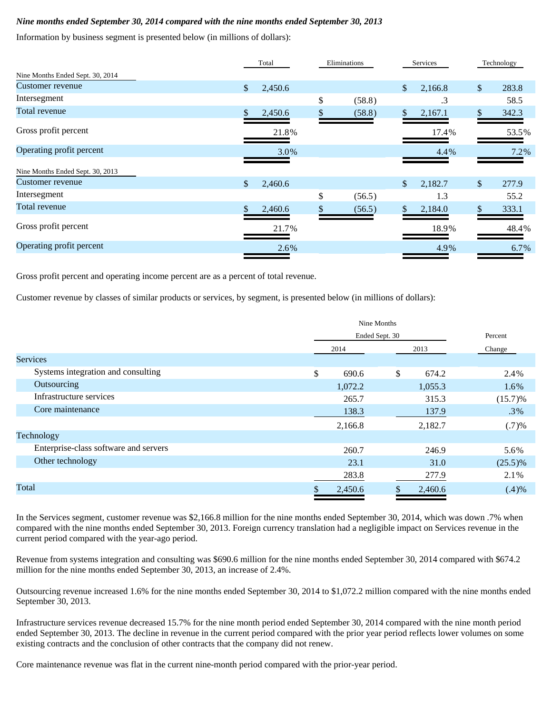# *Nine months ended September 30, 2014 compared with the nine months ended September 30, 2013*

Information by business segment is presented below (in millions of dollars):

|                                  |              | Total   | Eliminations |               | Services |               | Technology |
|----------------------------------|--------------|---------|--------------|---------------|----------|---------------|------------|
| Nine Months Ended Sept. 30, 2014 |              |         |              |               |          |               |            |
| Customer revenue                 | $\mathbb{S}$ | 2,450.6 |              | $\mathcal{S}$ | 2,166.8  | $\mathbb{S}$  | 283.8      |
| Intersegment                     |              |         | \$<br>(58.8) |               | .3       |               | 58.5       |
| Total revenue                    | \$.          | 2,450.6 | \$<br>(58.8) | $\mathbb{S}$  | 2,167.1  | \$.           | 342.3      |
| Gross profit percent             |              | 21.8%   |              |               | 17.4%    |               | 53.5%      |
| Operating profit percent         |              | 3.0%    |              |               | 4.4%     |               | 7.2%       |
| Nine Months Ended Sept. 30, 2013 |              |         |              |               |          |               |            |
| Customer revenue                 | $\mathbb{S}$ | 2,460.6 |              | $\mathbb{S}$  | 2,182.7  | $\mathcal{S}$ | 277.9      |
| Intersegment                     |              |         | \$<br>(56.5) |               | 1.3      |               | 55.2       |
| Total revenue                    |              | 2,460.6 | \$<br>(56.5) |               | 2,184.0  |               | 333.1      |
| Gross profit percent             |              | 21.7%   |              |               | 18.9%    |               | 48.4%      |
| Operating profit percent         |              | 2.6%    |              |               | 4.9%     |               | 6.7%       |
|                                  |              |         |              |               |          |               |            |

Gross profit percent and operating income percent are as a percent of total revenue.

Customer revenue by classes of similar products or services, by segment, is presented below (in millions of dollars):

|                                       | Nine Months |                |            |  |  |  |
|---------------------------------------|-------------|----------------|------------|--|--|--|
|                                       |             | Ended Sept. 30 |            |  |  |  |
|                                       | 2014        | 2013           | Change     |  |  |  |
| <b>Services</b>                       |             |                |            |  |  |  |
| Systems integration and consulting    | \$<br>690.6 | \$<br>674.2    | 2.4%       |  |  |  |
| Outsourcing                           | 1,072.2     | 1,055.3        | 1.6%       |  |  |  |
| Infrastructure services               | 265.7       | 315.3          | $(15.7)\%$ |  |  |  |
| Core maintenance                      | 138.3       | 137.9          | $.3\%$     |  |  |  |
|                                       | 2,166.8     | 2,182.7        | $(.7)$ %   |  |  |  |
| Technology                            |             |                |            |  |  |  |
| Enterprise-class software and servers | 260.7       | 246.9          | 5.6%       |  |  |  |
| Other technology                      | 23.1        | 31.0           | $(25.5)\%$ |  |  |  |
|                                       | 283.8       | 277.9          | 2.1%       |  |  |  |
| Total                                 | 2,450.6     | 2,460.6<br>Ф   | $(.4)$ %   |  |  |  |
|                                       |             |                |            |  |  |  |

In the Services segment, customer revenue was \$2,166.8 million for the nine months ended September 30, 2014, which was down .7% when compared with the nine months ended September 30, 2013. Foreign currency translation had a negligible impact on Services revenue in the current period compared with the year-ago period.

Revenue from systems integration and consulting was \$690.6 million for the nine months ended September 30, 2014 compared with \$674.2 million for the nine months ended September 30, 2013, an increase of 2.4%.

Outsourcing revenue increased 1.6% for the nine months ended September 30, 2014 to \$1,072.2 million compared with the nine months ended September 30, 2013.

Infrastructure services revenue decreased 15.7% for the nine month period ended September 30, 2014 compared with the nine month period ended September 30, 2013. The decline in revenue in the current period compared with the prior year period reflects lower volumes on some existing contracts and the conclusion of other contracts that the company did not renew.

Core maintenance revenue was flat in the current nine-month period compared with the prior-year period.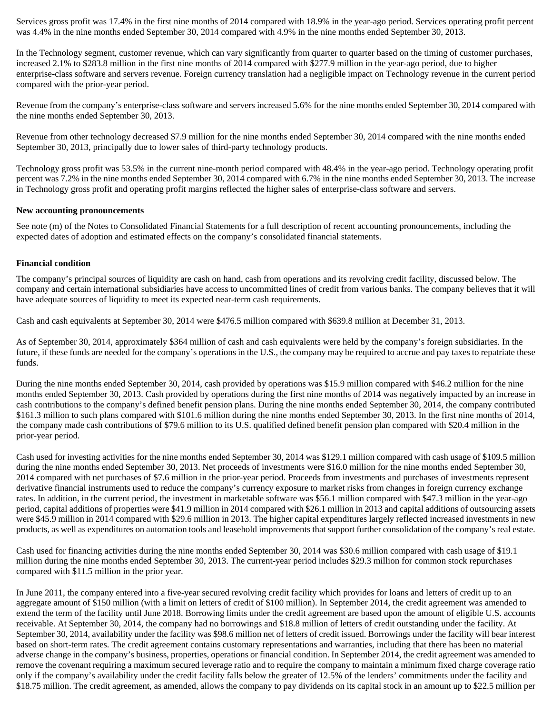Services gross profit was 17.4% in the first nine months of 2014 compared with 18.9% in the year-ago period. Services operating profit percent was 4.4% in the nine months ended September 30, 2014 compared with 4.9% in the nine months ended September 30, 2013.

In the Technology segment, customer revenue, which can vary significantly from quarter to quarter based on the timing of customer purchases, increased 2.1% to \$283.8 million in the first nine months of 2014 compared with \$277.9 million in the year-ago period, due to higher enterprise-class software and servers revenue. Foreign currency translation had a negligible impact on Technology revenue in the current period compared with the prior-year period.

Revenue from the company's enterprise-class software and servers increased 5.6% for the nine months ended September 30, 2014 compared with the nine months ended September 30, 2013.

Revenue from other technology decreased \$7.9 million for the nine months ended September 30, 2014 compared with the nine months ended September 30, 2013, principally due to lower sales of third-party technology products.

Technology gross profit was 53.5% in the current nine-month period compared with 48.4% in the year-ago period. Technology operating profit percent was 7.2% in the nine months ended September 30, 2014 compared with 6.7% in the nine months ended September 30, 2013. The increase in Technology gross profit and operating profit margins reflected the higher sales of enterprise-class software and servers.

#### **New accounting pronouncements**

See note (m) of the Notes to Consolidated Financial Statements for a full description of recent accounting pronouncements, including the expected dates of adoption and estimated effects on the company's consolidated financial statements.

#### **Financial condition**

The company's principal sources of liquidity are cash on hand, cash from operations and its revolving credit facility, discussed below. The company and certain international subsidiaries have access to uncommitted lines of credit from various banks. The company believes that it will have adequate sources of liquidity to meet its expected near-term cash requirements.

Cash and cash equivalents at September 30, 2014 were \$476.5 million compared with \$639.8 million at December 31, 2013.

As of September 30, 2014, approximately \$364 million of cash and cash equivalents were held by the company's foreign subsidiaries. In the future, if these funds are needed for the company's operations in the U.S., the company may be required to accrue and pay taxes to repatriate these funds.

During the nine months ended September 30, 2014, cash provided by operations was \$15.9 million compared with \$46.2 million for the nine months ended September 30, 2013. Cash provided by operations during the first nine months of 2014 was negatively impacted by an increase in cash contributions to the company's defined benefit pension plans. During the nine months ended September 30, 2014, the company contributed \$161.3 million to such plans compared with \$101.6 million during the nine months ended September 30, 2013. In the first nine months of 2014, the company made cash contributions of \$79.6 million to its U.S. qualified defined benefit pension plan compared with \$20.4 million in the prior-year period.

Cash used for investing activities for the nine months ended September 30, 2014 was \$129.1 million compared with cash usage of \$109.5 million during the nine months ended September 30, 2013. Net proceeds of investments were \$16.0 million for the nine months ended September 30, 2014 compared with net purchases of \$7.6 million in the prior-year period. Proceeds from investments and purchases of investments represent derivative financial instruments used to reduce the company's currency exposure to market risks from changes in foreign currency exchange rates. In addition, in the current period, the investment in marketable software was \$56.1 million compared with \$47.3 million in the year-ago period, capital additions of properties were \$41.9 million in 2014 compared with \$26.1 million in 2013 and capital additions of outsourcing assets were \$45.9 million in 2014 compared with \$29.6 million in 2013. The higher capital expenditures largely reflected increased investments in new products, as well as expenditures on automation tools and leasehold improvements that support further consolidation of the company's real estate.

Cash used for financing activities during the nine months ended September 30, 2014 was \$30.6 million compared with cash usage of \$19.1 million during the nine months ended September 30, 2013. The current-year period includes \$29.3 million for common stock repurchases compared with \$11.5 million in the prior year.

In June 2011, the company entered into a five-year secured revolving credit facility which provides for loans and letters of credit up to an aggregate amount of \$150 million (with a limit on letters of credit of \$100 million). In September 2014, the credit agreement was amended to extend the term of the facility until June 2018. Borrowing limits under the credit agreement are based upon the amount of eligible U.S. accounts receivable. At September 30, 2014, the company had no borrowings and \$18.8 million of letters of credit outstanding under the facility. At September 30, 2014, availability under the facility was \$98.6 million net of letters of credit issued. Borrowings under the facility will bear interest based on short-term rates. The credit agreement contains customary representations and warranties, including that there has been no material adverse change in the company's business, properties, operations or financial condition. In September 2014, the credit agreement was amended to remove the covenant requiring a maximum secured leverage ratio and to require the company to maintain a minimum fixed charge coverage ratio only if the company's availability under the credit facility falls below the greater of 12.5% of the lenders' commitments under the facility and \$18.75 million. The credit agreement, as amended, allows the company to pay dividends on its capital stock in an amount up to \$22.5 million per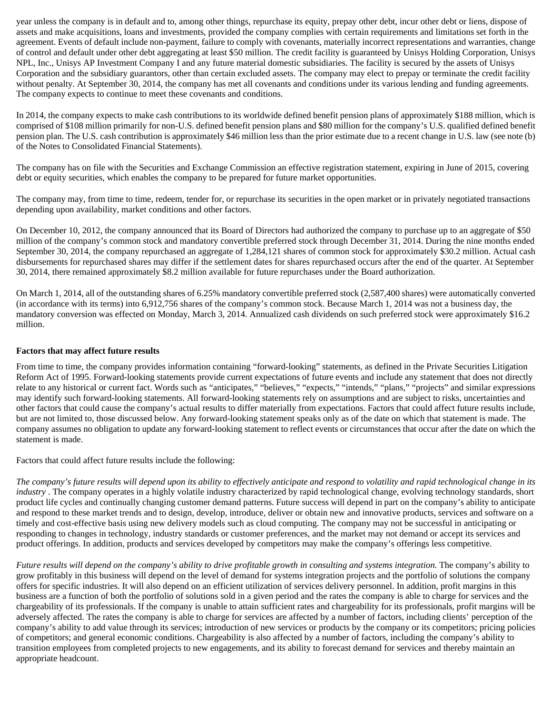year unless the company is in default and to, among other things, repurchase its equity, prepay other debt, incur other debt or liens, dispose of assets and make acquisitions, loans and investments, provided the company complies with certain requirements and limitations set forth in the agreement. Events of default include non-payment, failure to comply with covenants, materially incorrect representations and warranties, change of control and default under other debt aggregating at least \$50 million. The credit facility is guaranteed by Unisys Holding Corporation, Unisys NPL, Inc., Unisys AP Investment Company I and any future material domestic subsidiaries. The facility is secured by the assets of Unisys Corporation and the subsidiary guarantors, other than certain excluded assets. The company may elect to prepay or terminate the credit facility without penalty. At September 30, 2014, the company has met all covenants and conditions under its various lending and funding agreements. The company expects to continue to meet these covenants and conditions.

In 2014, the company expects to make cash contributions to its worldwide defined benefit pension plans of approximately \$188 million, which is comprised of \$108 million primarily for non-U.S. defined benefit pension plans and \$80 million for the company's U.S. qualified defined benefit pension plan. The U.S. cash contribution is approximately \$46 million less than the prior estimate due to a recent change in U.S. law (see note (b) of the Notes to Consolidated Financial Statements).

The company has on file with the Securities and Exchange Commission an effective registration statement, expiring in June of 2015, covering debt or equity securities, which enables the company to be prepared for future market opportunities.

The company may, from time to time, redeem, tender for, or repurchase its securities in the open market or in privately negotiated transactions depending upon availability, market conditions and other factors.

On December 10, 2012, the company announced that its Board of Directors had authorized the company to purchase up to an aggregate of \$50 million of the company's common stock and mandatory convertible preferred stock through December 31, 2014. During the nine months ended September 30, 2014, the company repurchased an aggregate of 1,284,121 shares of common stock for approximately \$30.2 million. Actual cash disbursements for repurchased shares may differ if the settlement dates for shares repurchased occurs after the end of the quarter. At September 30, 2014, there remained approximately \$8.2 million available for future repurchases under the Board authorization.

On March 1, 2014, all of the outstanding shares of 6.25% mandatory convertible preferred stock (2,587,400 shares) were automatically converted (in accordance with its terms) into 6,912,756 shares of the company's common stock. Because March 1, 2014 was not a business day, the mandatory conversion was effected on Monday, March 3, 2014. Annualized cash dividends on such preferred stock were approximately \$16.2 million.

# **Factors that may affect future results**

From time to time, the company provides information containing "forward-looking" statements, as defined in the Private Securities Litigation Reform Act of 1995. Forward-looking statements provide current expectations of future events and include any statement that does not directly relate to any historical or current fact. Words such as "anticipates," "believes," "expects," "intends," "plans," "projects" and similar expressions may identify such forward-looking statements. All forward-looking statements rely on assumptions and are subject to risks, uncertainties and other factors that could cause the company's actual results to differ materially from expectations. Factors that could affect future results include, but are not limited to, those discussed below. Any forward-looking statement speaks only as of the date on which that statement is made. The company assumes no obligation to update any forward-looking statement to reflect events or circumstances that occur after the date on which the statement is made.

Factors that could affect future results include the following:

*The company's future results will depend upon its ability to effectively anticipate and respond to volatility and rapid technological change in its industry* . The company operates in a highly volatile industry characterized by rapid technological change, evolving technology standards, short product life cycles and continually changing customer demand patterns. Future success will depend in part on the company's ability to anticipate and respond to these market trends and to design, develop, introduce, deliver or obtain new and innovative products, services and software on a timely and cost-effective basis using new delivery models such as cloud computing. The company may not be successful in anticipating or responding to changes in technology, industry standards or customer preferences, and the market may not demand or accept its services and product offerings. In addition, products and services developed by competitors may make the company's offerings less competitive.

*Future results will depend on the company's ability to drive profitable growth in consulting and systems integration.* The company's ability to grow profitably in this business will depend on the level of demand for systems integration projects and the portfolio of solutions the company offers for specific industries. It will also depend on an efficient utilization of services delivery personnel. In addition, profit margins in this business are a function of both the portfolio of solutions sold in a given period and the rates the company is able to charge for services and the chargeability of its professionals. If the company is unable to attain sufficient rates and chargeability for its professionals, profit margins will be adversely affected. The rates the company is able to charge for services are affected by a number of factors, including clients' perception of the company's ability to add value through its services; introduction of new services or products by the company or its competitors; pricing policies of competitors; and general economic conditions. Chargeability is also affected by a number of factors, including the company's ability to transition employees from completed projects to new engagements, and its ability to forecast demand for services and thereby maintain an appropriate headcount.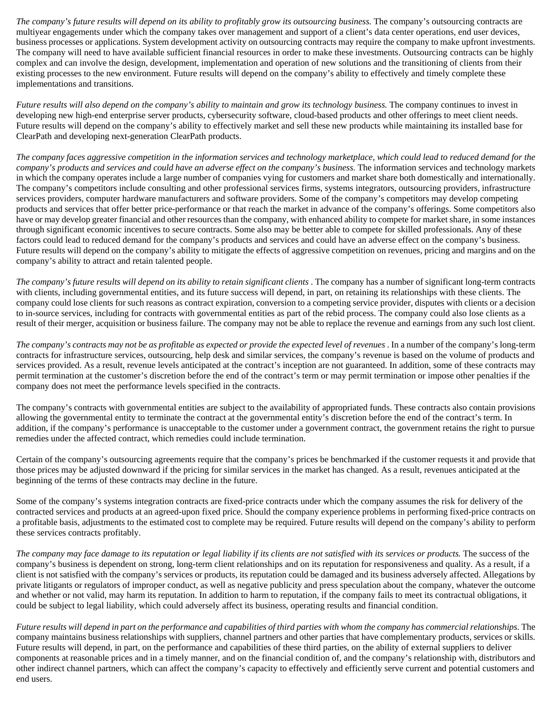*The company's future results will depend on its ability to profitably grow its outsourcing business.* The company's outsourcing contracts are multiyear engagements under which the company takes over management and support of a client's data center operations, end user devices, business processes or applications. System development activity on outsourcing contracts may require the company to make upfront investments. The company will need to have available sufficient financial resources in order to make these investments. Outsourcing contracts can be highly complex and can involve the design, development, implementation and operation of new solutions and the transitioning of clients from their existing processes to the new environment. Future results will depend on the company's ability to effectively and timely complete these implementations and transitions.

*Future results will also depend on the company's ability to maintain and grow its technology business.* The company continues to invest in developing new high-end enterprise server products, cybersecurity software, cloud-based products and other offerings to meet client needs. Future results will depend on the company's ability to effectively market and sell these new products while maintaining its installed base for ClearPath and developing next-generation ClearPath products.

*The company faces aggressive competition in the information services and technology marketplace, which could lead to reduced demand for the company's products and services and could have an adverse effect on the company's business.* The information services and technology markets in which the company operates include a large number of companies vying for customers and market share both domestically and internationally. The company's competitors include consulting and other professional services firms, systems integrators, outsourcing providers, infrastructure services providers, computer hardware manufacturers and software providers. Some of the company's competitors may develop competing products and services that offer better price-performance or that reach the market in advance of the company's offerings. Some competitors also have or may develop greater financial and other resources than the company, with enhanced ability to compete for market share, in some instances through significant economic incentives to secure contracts. Some also may be better able to compete for skilled professionals. Any of these factors could lead to reduced demand for the company's products and services and could have an adverse effect on the company's business. Future results will depend on the company's ability to mitigate the effects of aggressive competition on revenues, pricing and margins and on the company's ability to attract and retain talented people.

*The company's future results will depend on its ability to retain significant clients* . The company has a number of significant long-term contracts with clients, including governmental entities, and its future success will depend, in part, on retaining its relationships with these clients. The company could lose clients for such reasons as contract expiration, conversion to a competing service provider, disputes with clients or a decision to in-source services, including for contracts with governmental entities as part of the rebid process. The company could also lose clients as a result of their merger, acquisition or business failure. The company may not be able to replace the revenue and earnings from any such lost client.

*The company's contracts may not be as profitable as expected or provide the expected level of revenues* . In a number of the company's long-term contracts for infrastructure services, outsourcing, help desk and similar services, the company's revenue is based on the volume of products and services provided. As a result, revenue levels anticipated at the contract's inception are not guaranteed. In addition, some of these contracts may permit termination at the customer's discretion before the end of the contract's term or may permit termination or impose other penalties if the company does not meet the performance levels specified in the contracts.

The company's contracts with governmental entities are subject to the availability of appropriated funds. These contracts also contain provisions allowing the governmental entity to terminate the contract at the governmental entity's discretion before the end of the contract's term. In addition, if the company's performance is unacceptable to the customer under a government contract, the government retains the right to pursue remedies under the affected contract, which remedies could include termination.

Certain of the company's outsourcing agreements require that the company's prices be benchmarked if the customer requests it and provide that those prices may be adjusted downward if the pricing for similar services in the market has changed. As a result, revenues anticipated at the beginning of the terms of these contracts may decline in the future.

Some of the company's systems integration contracts are fixed-price contracts under which the company assumes the risk for delivery of the contracted services and products at an agreed-upon fixed price. Should the company experience problems in performing fixed-price contracts on a profitable basis, adjustments to the estimated cost to complete may be required. Future results will depend on the company's ability to perform these services contracts profitably.

*The company may face damage to its reputation or legal liability if its clients are not satisfied with its services or products.* The success of the company's business is dependent on strong, long-term client relationships and on its reputation for responsiveness and quality. As a result, if a client is not satisfied with the company's services or products, its reputation could be damaged and its business adversely affected. Allegations by private litigants or regulators of improper conduct, as well as negative publicity and press speculation about the company, whatever the outcome and whether or not valid, may harm its reputation. In addition to harm to reputation, if the company fails to meet its contractual obligations, it could be subject to legal liability, which could adversely affect its business, operating results and financial condition.

*Future results will depend in part on the performance and capabilities of third parties with whom the company has commercial relationships.* The company maintains business relationships with suppliers, channel partners and other parties that have complementary products, services or skills. Future results will depend, in part, on the performance and capabilities of these third parties, on the ability of external suppliers to deliver components at reasonable prices and in a timely manner, and on the financial condition of, and the company's relationship with, distributors and other indirect channel partners, which can affect the company's capacity to effectively and efficiently serve current and potential customers and end users.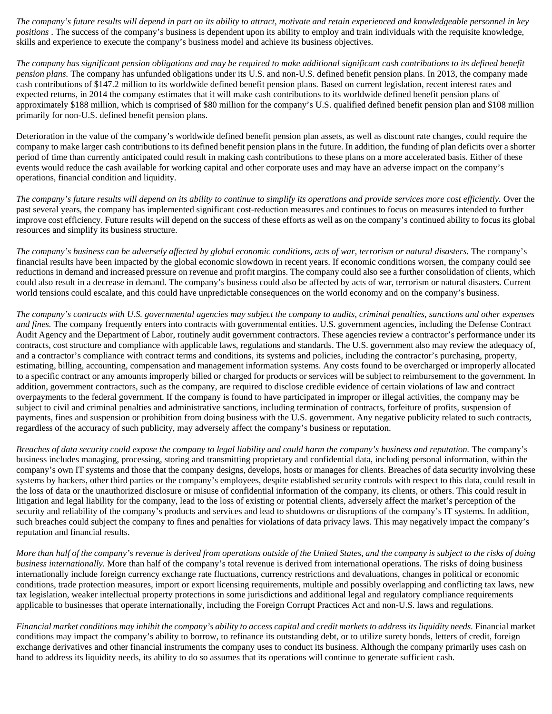*The company's future results will depend in part on its ability to attract, motivate and retain experienced and knowledgeable personnel in key positions* . The success of the company's business is dependent upon its ability to employ and train individuals with the requisite knowledge, skills and experience to execute the company's business model and achieve its business objectives.

*The company has significant pension obligations and may be required to make additional significant cash contributions to its defined benefit pension plans.* The company has unfunded obligations under its U.S. and non-U.S. defined benefit pension plans. In 2013, the company made cash contributions of \$147.2 million to its worldwide defined benefit pension plans. Based on current legislation, recent interest rates and expected returns, in 2014 the company estimates that it will make cash contributions to its worldwide defined benefit pension plans of approximately \$188 million, which is comprised of \$80 million for the company's U.S. qualified defined benefit pension plan and \$108 million primarily for non-U.S. defined benefit pension plans.

Deterioration in the value of the company's worldwide defined benefit pension plan assets, as well as discount rate changes, could require the company to make larger cash contributions to its defined benefit pension plans in the future. In addition, the funding of plan deficits over a shorter period of time than currently anticipated could result in making cash contributions to these plans on a more accelerated basis. Either of these events would reduce the cash available for working capital and other corporate uses and may have an adverse impact on the company's operations, financial condition and liquidity.

*The company's future results will depend on its ability to continue to simplify its operations and provide services more cost efficiently.* Over the past several years, the company has implemented significant cost-reduction measures and continues to focus on measures intended to further improve cost efficiency. Future results will depend on the success of these efforts as well as on the company's continued ability to focus its global resources and simplify its business structure.

*The company's business can be adversely affected by global economic conditions, acts of war, terrorism or natural disasters.* The company's financial results have been impacted by the global economic slowdown in recent years. If economic conditions worsen, the company could see reductions in demand and increased pressure on revenue and profit margins. The company could also see a further consolidation of clients, which could also result in a decrease in demand. The company's business could also be affected by acts of war, terrorism or natural disasters. Current world tensions could escalate, and this could have unpredictable consequences on the world economy and on the company's business.

*The company's contracts with U.S. governmental agencies may subject the company to audits, criminal penalties, sanctions and other expenses and fines.* The company frequently enters into contracts with governmental entities. U.S. government agencies, including the Defense Contract Audit Agency and the Department of Labor, routinely audit government contractors. These agencies review a contractor's performance under its contracts, cost structure and compliance with applicable laws, regulations and standards. The U.S. government also may review the adequacy of, and a contractor's compliance with contract terms and conditions, its systems and policies, including the contractor's purchasing, property, estimating, billing, accounting, compensation and management information systems. Any costs found to be overcharged or improperly allocated to a specific contract or any amounts improperly billed or charged for products or services will be subject to reimbursement to the government. In addition, government contractors, such as the company, are required to disclose credible evidence of certain violations of law and contract overpayments to the federal government. If the company is found to have participated in improper or illegal activities, the company may be subject to civil and criminal penalties and administrative sanctions, including termination of contracts, forfeiture of profits, suspension of payments, fines and suspension or prohibition from doing business with the U.S. government. Any negative publicity related to such contracts, regardless of the accuracy of such publicity, may adversely affect the company's business or reputation.

*Breaches of data security could expose the company to legal liability and could harm the company's business and reputation.* The company's business includes managing, processing, storing and transmitting proprietary and confidential data, including personal information, within the company's own IT systems and those that the company designs, develops, hosts or manages for clients. Breaches of data security involving these systems by hackers, other third parties or the company's employees, despite established security controls with respect to this data, could result in the loss of data or the unauthorized disclosure or misuse of confidential information of the company, its clients, or others. This could result in litigation and legal liability for the company, lead to the loss of existing or potential clients, adversely affect the market's perception of the security and reliability of the company's products and services and lead to shutdowns or disruptions of the company's IT systems. In addition, such breaches could subject the company to fines and penalties for violations of data privacy laws. This may negatively impact the company's reputation and financial results.

*More than half of the company's revenue is derived from operations outside of the United States, and the company is subject to the risks of doing business internationally.* More than half of the company's total revenue is derived from international operations. The risks of doing business internationally include foreign currency exchange rate fluctuations, currency restrictions and devaluations, changes in political or economic conditions, trade protection measures, import or export licensing requirements, multiple and possibly overlapping and conflicting tax laws, new tax legislation, weaker intellectual property protections in some jurisdictions and additional legal and regulatory compliance requirements applicable to businesses that operate internationally, including the Foreign Corrupt Practices Act and non-U.S. laws and regulations.

*Financial market conditions may inhibit the company's ability to access capital and credit markets to address its liquidity needs.* Financial market conditions may impact the company's ability to borrow, to refinance its outstanding debt, or to utilize surety bonds, letters of credit, foreign exchange derivatives and other financial instruments the company uses to conduct its business. Although the company primarily uses cash on hand to address its liquidity needs, its ability to do so assumes that its operations will continue to generate sufficient cash.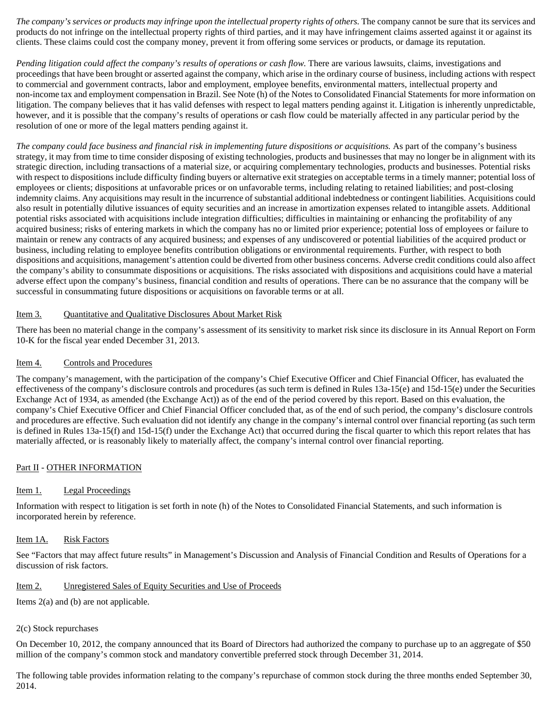*The company's services or products may infringe upon the intellectual property rights of others.* The company cannot be sure that its services and products do not infringe on the intellectual property rights of third parties, and it may have infringement claims asserted against it or against its clients. These claims could cost the company money, prevent it from offering some services or products, or damage its reputation.

*Pending litigation could affect the company's results of operations or cash flow.* There are various lawsuits, claims, investigations and proceedings that have been brought or asserted against the company, which arise in the ordinary course of business, including actions with respect to commercial and government contracts, labor and employment, employee benefits, environmental matters, intellectual property and non-income tax and employment compensation in Brazil. See Note (h) of the Notes to Consolidated Financial Statements for more information on litigation. The company believes that it has valid defenses with respect to legal matters pending against it. Litigation is inherently unpredictable, however, and it is possible that the company's results of operations or cash flow could be materially affected in any particular period by the resolution of one or more of the legal matters pending against it.

*The company could face business and financial risk in implementing future dispositions or acquisitions.* As part of the company's business strategy, it may from time to time consider disposing of existing technologies, products and businesses that may no longer be in alignment with its strategic direction, including transactions of a material size, or acquiring complementary technologies, products and businesses. Potential risks with respect to dispositions include difficulty finding buyers or alternative exit strategies on acceptable terms in a timely manner; potential loss of employees or clients; dispositions at unfavorable prices or on unfavorable terms, including relating to retained liabilities; and post-closing indemnity claims. Any acquisitions may result in the incurrence of substantial additional indebtedness or contingent liabilities. Acquisitions could also result in potentially dilutive issuances of equity securities and an increase in amortization expenses related to intangible assets. Additional potential risks associated with acquisitions include integration difficulties; difficulties in maintaining or enhancing the profitability of any acquired business; risks of entering markets in which the company has no or limited prior experience; potential loss of employees or failure to maintain or renew any contracts of any acquired business; and expenses of any undiscovered or potential liabilities of the acquired product or business, including relating to employee benefits contribution obligations or environmental requirements. Further, with respect to both dispositions and acquisitions, management's attention could be diverted from other business concerns. Adverse credit conditions could also affect the company's ability to consummate dispositions or acquisitions. The risks associated with dispositions and acquisitions could have a material adverse effect upon the company's business, financial condition and results of operations. There can be no assurance that the company will be successful in consummating future dispositions or acquisitions on favorable terms or at all.

# Item 3. Quantitative and Qualitative Disclosures About Market Risk

There has been no material change in the company's assessment of its sensitivity to market risk since its disclosure in its Annual Report on Form 10-K for the fiscal year ended December 31, 2013.

# Item 4. Controls and Procedures

The company's management, with the participation of the company's Chief Executive Officer and Chief Financial Officer, has evaluated the effectiveness of the company's disclosure controls and procedures (as such term is defined in Rules  $13a-15(e)$  and  $15d-15(e)$  under the Securities Exchange Act of 1934, as amended (the Exchange Act)) as of the end of the period covered by this report. Based on this evaluation, the company's Chief Executive Officer and Chief Financial Officer concluded that, as of the end of such period, the company's disclosure controls and procedures are effective. Such evaluation did not identify any change in the company's internal control over financial reporting (as such term is defined in Rules 13a-15(f) and 15d-15(f) under the Exchange Act) that occurred during the fiscal quarter to which this report relates that has materially affected, or is reasonably likely to materially affect, the company's internal control over financial reporting.

# Part II - OTHER INFORMATION

# Item 1. Legal Proceedings

Information with respect to litigation is set forth in note (h) of the Notes to Consolidated Financial Statements, and such information is incorporated herein by reference.

# Item 1A. Risk Factors

See "Factors that may affect future results" in Management's Discussion and Analysis of Financial Condition and Results of Operations for a discussion of risk factors.

# Item 2. Unregistered Sales of Equity Securities and Use of Proceeds

Items 2(a) and (b) are not applicable.

# 2(c) Stock repurchases

On December 10, 2012, the company announced that its Board of Directors had authorized the company to purchase up to an aggregate of \$50 million of the company's common stock and mandatory convertible preferred stock through December 31, 2014.

The following table provides information relating to the company's repurchase of common stock during the three months ended September 30, 2014.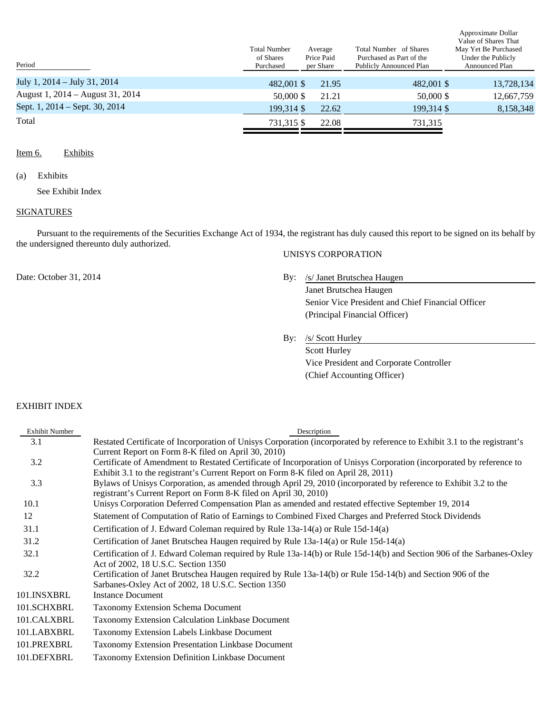| Period                           | <b>Total Number</b><br>of Shares<br>Purchased | Average<br>Price Paid<br>per Share | Total Number of Shares<br>Purchased as Part of the<br><b>Publicly Announced Plan</b> | Value of Shares That<br>May Yet Be Purchased<br>Under the Publicly<br><b>Announced Plan</b> |
|----------------------------------|-----------------------------------------------|------------------------------------|--------------------------------------------------------------------------------------|---------------------------------------------------------------------------------------------|
| July 1, 2014 – July 31, 2014     | 482,001 \$                                    | 21.95                              | 482,001 \$                                                                           | 13,728,134                                                                                  |
| August 1, 2014 – August 31, 2014 | 50,000 \$                                     | 21.21                              | 50,000 \$                                                                            | 12,667,759                                                                                  |
| Sept. 1, 2014 – Sept. 30, 2014   | 199.314 \$                                    | 22.62                              | 199.314 \$                                                                           | 8,158,348                                                                                   |
| Total                            | 731.315 \$                                    | 22.08                              | 731,315                                                                              |                                                                                             |
|                                  |                                               |                                    |                                                                                      |                                                                                             |

#### Item 6. Exhibits

#### (a) Exhibits

See Exhibit Index

#### **SIGNATURES**

Pursuant to the requirements of the Securities Exchange Act of 1934, the registrant has duly caused this report to be signed on its behalf by the undersigned thereunto duly authorized. UNISYS CORPORATION

# Date: October 31, 2014 By: /s/ Janet Brutschea Haugen

Janet Brutschea Haugen Senior Vice President and Chief Financial Officer (Principal Financial Officer)

Approximate Dollar

By: /s/ Scott Hurley

Scott Hurley Vice President and Corporate Controller (Chief Accounting Officer)

#### EXHIBIT INDEX

| <b>Exhibit Number</b> | Description                                                                                                                                                                          |
|-----------------------|--------------------------------------------------------------------------------------------------------------------------------------------------------------------------------------|
| 3.1                   | Restated Certificate of Incorporation of Unisys Corporation (incorporated by reference to Exhibit 3.1 to the registrant's                                                            |
|                       | Current Report on Form 8-K filed on April 30, 2010)                                                                                                                                  |
| 3.2                   | Certificate of Amendment to Restated Certificate of Incorporation of Unisys Corporation (incorporated by reference to                                                                |
|                       | Exhibit 3.1 to the registrant's Current Report on Form 8-K filed on April 28, 2011)                                                                                                  |
| 3.3                   | Bylaws of Unisys Corporation, as amended through April 29, 2010 (incorporated by reference to Exhibit 3.2 to the<br>registrant's Current Report on Form 8-K filed on April 30, 2010) |
| 10.1                  | Unisys Corporation Deferred Compensation Plan as amended and restated effective September 19, 2014                                                                                   |
| 12                    | Statement of Computation of Ratio of Earnings to Combined Fixed Charges and Preferred Stock Dividends                                                                                |
| 31.1                  | Certification of J. Edward Coleman required by Rule 13a-14(a) or Rule 15d-14(a)                                                                                                      |
| 31.2                  | Certification of Janet Brutschea Haugen required by Rule 13a-14(a) or Rule 15d-14(a)                                                                                                 |
| 32.1                  | Certification of J. Edward Coleman required by Rule 13a-14(b) or Rule 15d-14(b) and Section 906 of the Sarbanes-Oxley<br>Act of 2002, 18 U.S.C. Section 1350                         |
| 32.2                  | Certification of Janet Brutschea Haugen required by Rule 13a-14(b) or Rule 15d-14(b) and Section 906 of the<br>Sarbanes-Oxley Act of 2002, 18 U.S.C. Section 1350                    |
| 101.INSXBRL           | <b>Instance Document</b>                                                                                                                                                             |
| 101.SCHXBRL           | <b>Taxonomy Extension Schema Document</b>                                                                                                                                            |
| 101.CALXBRL           | <b>Taxonomy Extension Calculation Linkbase Document</b>                                                                                                                              |
| 101.LABXBRL           | Taxonomy Extension Labels Linkbase Document                                                                                                                                          |
| 101.PREXBRL           | Taxonomy Extension Presentation Linkbase Document                                                                                                                                    |
| 101.DEFXBRL           | Taxonomy Extension Definition Linkbase Document                                                                                                                                      |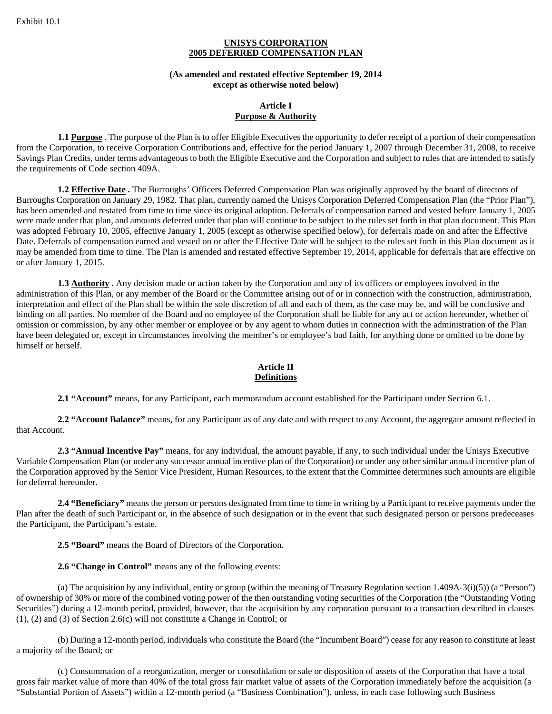#### **UNISYS CORPORATION 2005 DEFERRED COMPENSATION PLAN**

#### **(As amended and restated effective September 19, 2014 except as otherwise noted below)**

#### **Article I Purpose & Authority**

**1.1 Purpose** . The purpose of the Plan is to offer Eligible Executives the opportunity to defer receipt of a portion of their compensation from the Corporation, to receive Corporation Contributions and, effective for the period January 1, 2007 through December 31, 2008, to receive Savings Plan Credits, under terms advantageous to both the Eligible Executive and the Corporation and subject to rules that are intended to satisfy the requirements of Code section 409A.

**1.2 Effective Date .** The Burroughs' Officers Deferred Compensation Plan was originally approved by the board of directors of Burroughs Corporation on January 29, 1982. That plan, currently named the Unisys Corporation Deferred Compensation Plan (the "Prior Plan"), has been amended and restated from time to time since its original adoption. Deferrals of compensation earned and vested before January 1, 2005 were made under that plan, and amounts deferred under that plan will continue to be subject to the rules set forth in that plan document. This Plan was adopted February 10, 2005, effective January 1, 2005 (except as otherwise specified below), for deferrals made on and after the Effective Date. Deferrals of compensation earned and vested on or after the Effective Date will be subject to the rules set forth in this Plan document as it may be amended from time to time. The Plan is amended and restated effective September 19, 2014, applicable for deferrals that are effective on or after January 1, 2015.

**1.3 Authority**. Any decision made or action taken by the Corporation and any of its officers or employees involved in the administration of this Plan, or any member of the Board or the Committee arising out of or in connection with the construction, administration, interpretation and effect of the Plan shall be within the sole discretion of all and each of them, as the case may be, and will be conclusive and binding on all parties. No member of the Board and no employee of the Corporation shall be liable for any act or action hereunder, whether of omission or commission, by any other member or employee or by any agent to whom duties in connection with the administration of the Plan have been delegated or, except in circumstances involving the member's or employee's bad faith, for anything done or omitted to be done by himself or herself.

# **Article II Definitions**

**2.1 "Account"** means, for any Participant, each memorandum account established for the Participant under Section 6.1.

**2.2 "Account Balance"** means, for any Participant as of any date and with respect to any Account, the aggregate amount reflected in that Account.

**2.3 "Annual Incentive Pay"** means, for any individual, the amount payable, if any, to such individual under the Unisys Executive Variable Compensation Plan (or under any successor annual incentive plan of the Corporation) or under any other similar annual incentive plan of the Corporation approved by the Senior Vice President, Human Resources, to the extent that the Committee determines such amounts are eligible for deferral hereunder.

**2.4 "Beneficiary"** means the person or persons designated from time to time in writing by a Participant to receive payments under the Plan after the death of such Participant or, in the absence of such designation or in the event that such designated person or persons predeceases the Participant, the Participant's estate.

**2.5 "Board"** means the Board of Directors of the Corporation.

**2.6 "Change in Control"** means any of the following events:

(a) The acquisition by any individual, entity or group (within the meaning of Treasury Regulation section 1.409A-3(i)(5)) (a "Person") of ownership of 30% or more of the combined voting power of the then outstanding voting securities of the Corporation (the "Outstanding Voting Securities") during a 12-month period, provided, however, that the acquisition by any corporation pursuant to a transaction described in clauses (1), (2) and (3) of Section 2.6(c) will not constitute a Change in Control; or

(b) During a 12-month period, individuals who constitute the Board (the "Incumbent Board") cease for any reason to constitute at least a majority of the Board; or

(c) Consummation of a reorganization, merger or consolidation or sale or disposition of assets of the Corporation that have a total gross fair market value of more than 40% of the total gross fair market value of assets of the Corporation immediately before the acquisition (a "Substantial Portion of Assets") within a 12-month period (a "Business Combination"), unless, in each case following such Business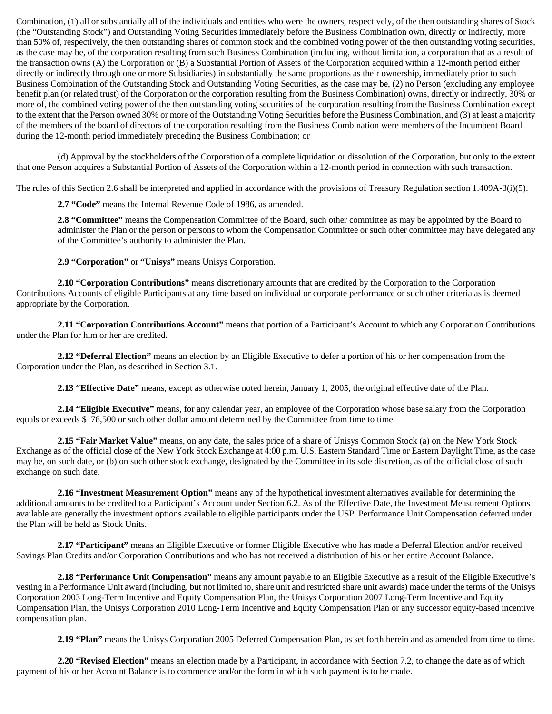Combination, (1) all or substantially all of the individuals and entities who were the owners, respectively, of the then outstanding shares of Stock (the "Outstanding Stock") and Outstanding Voting Securities immediately before the Business Combination own, directly or indirectly, more than 50% of, respectively, the then outstanding shares of common stock and the combined voting power of the then outstanding voting securities, as the case may be, of the corporation resulting from such Business Combination (including, without limitation, a corporation that as a result of the transaction owns (A) the Corporation or (B) a Substantial Portion of Assets of the Corporation acquired within a 12-month period either directly or indirectly through one or more Subsidiaries) in substantially the same proportions as their ownership, immediately prior to such Business Combination of the Outstanding Stock and Outstanding Voting Securities, as the case may be, (2) no Person (excluding any employee benefit plan (or related trust) of the Corporation or the corporation resulting from the Business Combination) owns, directly or indirectly, 30% or more of, the combined voting power of the then outstanding voting securities of the corporation resulting from the Business Combination except to the extent that the Person owned 30% or more of the Outstanding Voting Securities before the Business Combination, and (3) at least a majority of the members of the board of directors of the corporation resulting from the Business Combination were members of the Incumbent Board during the 12-month period immediately preceding the Business Combination; or

(d) Approval by the stockholders of the Corporation of a complete liquidation or dissolution of the Corporation, but only to the extent that one Person acquires a Substantial Portion of Assets of the Corporation within a 12-month period in connection with such transaction.

The rules of this Section 2.6 shall be interpreted and applied in accordance with the provisions of Treasury Regulation section 1.409A-3(i)(5).

**2.7 "Code"** means the Internal Revenue Code of 1986, as amended.

**2.8 "Committee"** means the Compensation Committee of the Board, such other committee as may be appointed by the Board to administer the Plan or the person or persons to whom the Compensation Committee or such other committee may have delegated any of the Committee's authority to administer the Plan.

**2.9 "Corporation"** or **"Unisys"** means Unisys Corporation.

**2.10 "Corporation Contributions"** means discretionary amounts that are credited by the Corporation to the Corporation Contributions Accounts of eligible Participants at any time based on individual or corporate performance or such other criteria as is deemed appropriate by the Corporation.

**2.11 "Corporation Contributions Account"** means that portion of a Participant's Account to which any Corporation Contributions under the Plan for him or her are credited.

**2.12 "Deferral Election"** means an election by an Eligible Executive to defer a portion of his or her compensation from the Corporation under the Plan, as described in Section 3.1.

**2.13 "Effective Date"** means, except as otherwise noted herein, January 1, 2005, the original effective date of the Plan.

**2.14 "Eligible Executive"** means, for any calendar year, an employee of the Corporation whose base salary from the Corporation equals or exceeds \$178,500 or such other dollar amount determined by the Committee from time to time.

**2.15 "Fair Market Value"** means, on any date, the sales price of a share of Unisys Common Stock (a) on the New York Stock Exchange as of the official close of the New York Stock Exchange at 4:00 p.m. U.S. Eastern Standard Time or Eastern Daylight Time, as the case may be, on such date, or (b) on such other stock exchange, designated by the Committee in its sole discretion, as of the official close of such exchange on such date.

**2.16 "Investment Measurement Option"** means any of the hypothetical investment alternatives available for determining the additional amounts to be credited to a Participant's Account under Section 6.2. As of the Effective Date, the Investment Measurement Options available are generally the investment options available to eligible participants under the USP. Performance Unit Compensation deferred under the Plan will be held as Stock Units.

**2.17 "Participant"** means an Eligible Executive or former Eligible Executive who has made a Deferral Election and/or received Savings Plan Credits and/or Corporation Contributions and who has not received a distribution of his or her entire Account Balance.

**2.18 "Performance Unit Compensation"** means any amount payable to an Eligible Executive as a result of the Eligible Executive's vesting in a Performance Unit award (including, but not limited to, share unit and restricted share unit awards) made under the terms of the Unisys Corporation 2003 Long-Term Incentive and Equity Compensation Plan, the Unisys Corporation 2007 Long-Term Incentive and Equity Compensation Plan, the Unisys Corporation 2010 Long-Term Incentive and Equity Compensation Plan or any successor equity-based incentive compensation plan.

**2.19 "Plan"** means the Unisys Corporation 2005 Deferred Compensation Plan, as set forth herein and as amended from time to time.

**2.20 "Revised Election"** means an election made by a Participant, in accordance with Section 7.2, to change the date as of which payment of his or her Account Balance is to commence and/or the form in which such payment is to be made.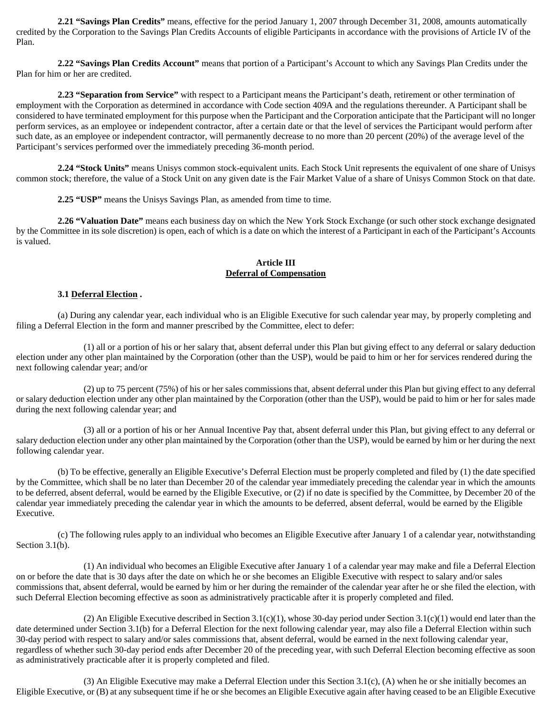**2.21 "Savings Plan Credits"** means, effective for the period January 1, 2007 through December 31, 2008, amounts automatically credited by the Corporation to the Savings Plan Credits Accounts of eligible Participants in accordance with the provisions of Article IV of the Plan.

**2.22 "Savings Plan Credits Account"** means that portion of a Participant's Account to which any Savings Plan Credits under the Plan for him or her are credited.

**2.23 "Separation from Service"** with respect to a Participant means the Participant's death, retirement or other termination of employment with the Corporation as determined in accordance with Code section 409A and the regulations thereunder. A Participant shall be considered to have terminated employment for this purpose when the Participant and the Corporation anticipate that the Participant will no longer perform services, as an employee or independent contractor, after a certain date or that the level of services the Participant would perform after such date, as an employee or independent contractor, will permanently decrease to no more than 20 percent (20%) of the average level of the Participant's services performed over the immediately preceding 36-month period.

**2.24 "Stock Units"** means Unisys common stock-equivalent units. Each Stock Unit represents the equivalent of one share of Unisys common stock; therefore, the value of a Stock Unit on any given date is the Fair Market Value of a share of Unisys Common Stock on that date.

**2.25 "USP"** means the Unisys Savings Plan, as amended from time to time.

**2.26 "Valuation Date"** means each business day on which the New York Stock Exchange (or such other stock exchange designated by the Committee in its sole discretion) is open, each of which is a date on which the interest of a Participant in each of the Participant's Accounts is valued.

# **Article III Deferral of Compensation**

#### **3.1 Deferral Election .**

(a) During any calendar year, each individual who is an Eligible Executive for such calendar year may, by properly completing and filing a Deferral Election in the form and manner prescribed by the Committee, elect to defer:

(1) all or a portion of his or her salary that, absent deferral under this Plan but giving effect to any deferral or salary deduction election under any other plan maintained by the Corporation (other than the USP), would be paid to him or her for services rendered during the next following calendar year; and/or

(2) up to 75 percent (75%) of his or her sales commissions that, absent deferral under this Plan but giving effect to any deferral or salary deduction election under any other plan maintained by the Corporation (other than the USP), would be paid to him or her for sales made during the next following calendar year; and

(3) all or a portion of his or her Annual Incentive Pay that, absent deferral under this Plan, but giving effect to any deferral or salary deduction election under any other plan maintained by the Corporation (other than the USP), would be earned by him or her during the next following calendar year.

(b) To be effective, generally an Eligible Executive's Deferral Election must be properly completed and filed by (1) the date specified by the Committee, which shall be no later than December 20 of the calendar year immediately preceding the calendar year in which the amounts to be deferred, absent deferral, would be earned by the Eligible Executive, or (2) if no date is specified by the Committee, by December 20 of the calendar year immediately preceding the calendar year in which the amounts to be deferred, absent deferral, would be earned by the Eligible Executive.

(c) The following rules apply to an individual who becomes an Eligible Executive after January 1 of a calendar year, notwithstanding Section 3.1(b).

(1) An individual who becomes an Eligible Executive after January 1 of a calendar year may make and file a Deferral Election on or before the date that is 30 days after the date on which he or she becomes an Eligible Executive with respect to salary and/or sales commissions that, absent deferral, would be earned by him or her during the remainder of the calendar year after he or she filed the election, with such Deferral Election becoming effective as soon as administratively practicable after it is properly completed and filed.

(2) An Eligible Executive described in Section 3.1(c)(1), whose 30-day period under Section 3.1(c)(1) would end later than the date determined under Section 3.1(b) for a Deferral Election for the next following calendar year, may also file a Deferral Election within such 30-day period with respect to salary and/or sales commissions that, absent deferral, would be earned in the next following calendar year, regardless of whether such 30-day period ends after December 20 of the preceding year, with such Deferral Election becoming effective as soon as administratively practicable after it is properly completed and filed.

(3) An Eligible Executive may make a Deferral Election under this Section 3.1(c), (A) when he or she initially becomes an Eligible Executive, or (B) at any subsequent time if he or she becomes an Eligible Executive again after having ceased to be an Eligible Executive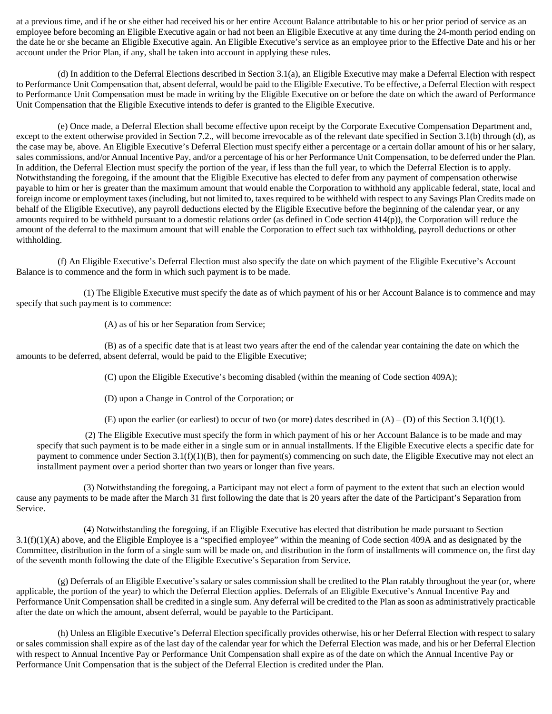at a previous time, and if he or she either had received his or her entire Account Balance attributable to his or her prior period of service as an employee before becoming an Eligible Executive again or had not been an Eligible Executive at any time during the 24-month period ending on the date he or she became an Eligible Executive again. An Eligible Executive's service as an employee prior to the Effective Date and his or her account under the Prior Plan, if any, shall be taken into account in applying these rules.

(d) In addition to the Deferral Elections described in Section 3.1(a), an Eligible Executive may make a Deferral Election with respect to Performance Unit Compensation that, absent deferral, would be paid to the Eligible Executive. To be effective, a Deferral Election with respect to Performance Unit Compensation must be made in writing by the Eligible Executive on or before the date on which the award of Performance Unit Compensation that the Eligible Executive intends to defer is granted to the Eligible Executive.

(e) Once made, a Deferral Election shall become effective upon receipt by the Corporate Executive Compensation Department and, except to the extent otherwise provided in Section 7.2., will become irrevocable as of the relevant date specified in Section 3.1(b) through (d), as the case may be, above. An Eligible Executive's Deferral Election must specify either a percentage or a certain dollar amount of his or her salary, sales commissions, and/or Annual Incentive Pay, and/or a percentage of his or her Performance Unit Compensation, to be deferred under the Plan. In addition, the Deferral Election must specify the portion of the year, if less than the full year, to which the Deferral Election is to apply. Notwithstanding the foregoing, if the amount that the Eligible Executive has elected to defer from any payment of compensation otherwise payable to him or her is greater than the maximum amount that would enable the Corporation to withhold any applicable federal, state, local and foreign income or employment taxes (including, but not limited to, taxes required to be withheld with respect to any Savings Plan Credits made on behalf of the Eligible Executive), any payroll deductions elected by the Eligible Executive before the beginning of the calendar year, or any amounts required to be withheld pursuant to a domestic relations order (as defined in Code section 414(p)), the Corporation will reduce the amount of the deferral to the maximum amount that will enable the Corporation to effect such tax withholding, payroll deductions or other withholding.

(f) An Eligible Executive's Deferral Election must also specify the date on which payment of the Eligible Executive's Account Balance is to commence and the form in which such payment is to be made.

(1) The Eligible Executive must specify the date as of which payment of his or her Account Balance is to commence and may specify that such payment is to commence:

(A) as of his or her Separation from Service;

(B) as of a specific date that is at least two years after the end of the calendar year containing the date on which the amounts to be deferred, absent deferral, would be paid to the Eligible Executive;

(C) upon the Eligible Executive's becoming disabled (within the meaning of Code section 409A);

(D) upon a Change in Control of the Corporation; or

(E) upon the earlier (or earliest) to occur of two (or more) dates described in  $(A) - (D)$  of this Section 3.1(f)(1).

(2) The Eligible Executive must specify the form in which payment of his or her Account Balance is to be made and may specify that such payment is to be made either in a single sum or in annual installments. If the Eligible Executive elects a specific date for payment to commence under Section 3.1(f)(1)(B), then for payment(s) commencing on such date, the Eligible Executive may not elect an installment payment over a period shorter than two years or longer than five years.

(3) Notwithstanding the foregoing, a Participant may not elect a form of payment to the extent that such an election would cause any payments to be made after the March 31 first following the date that is 20 years after the date of the Participant's Separation from Service.

(4) Notwithstanding the foregoing, if an Eligible Executive has elected that distribution be made pursuant to Section 3.1(f)(1)(A) above, and the Eligible Employee is a "specified employee" within the meaning of Code section 409A and as designated by the Committee, distribution in the form of a single sum will be made on, and distribution in the form of installments will commence on, the first day of the seventh month following the date of the Eligible Executive's Separation from Service.

(g) Deferrals of an Eligible Executive's salary or sales commission shall be credited to the Plan ratably throughout the year (or, where applicable, the portion of the year) to which the Deferral Election applies. Deferrals of an Eligible Executive's Annual Incentive Pay and Performance Unit Compensation shall be credited in a single sum. Any deferral will be credited to the Plan as soon as administratively practicable after the date on which the amount, absent deferral, would be payable to the Participant.

(h) Unless an Eligible Executive's Deferral Election specifically provides otherwise, his or her Deferral Election with respect to salary or sales commission shall expire as of the last day of the calendar year for which the Deferral Election was made, and his or her Deferral Election with respect to Annual Incentive Pay or Performance Unit Compensation shall expire as of the date on which the Annual Incentive Pay or Performance Unit Compensation that is the subject of the Deferral Election is credited under the Plan.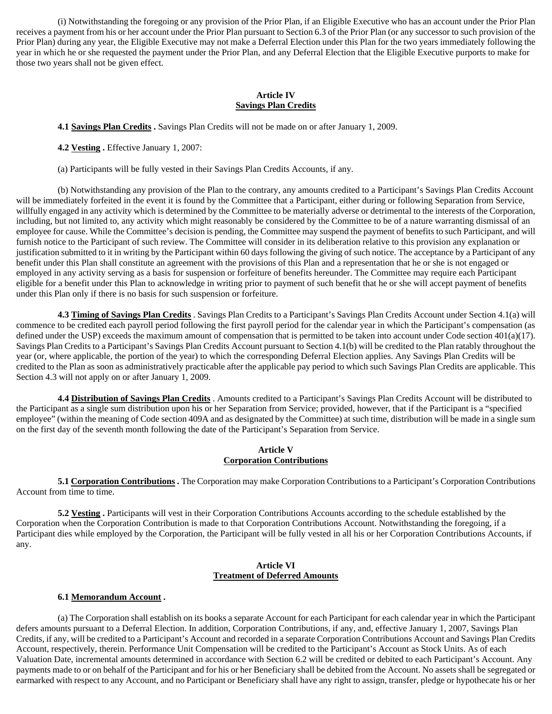(i) Notwithstanding the foregoing or any provision of the Prior Plan, if an Eligible Executive who has an account under the Prior Plan receives a payment from his or her account under the Prior Plan pursuant to Section 6.3 of the Prior Plan (or any successor to such provision of the Prior Plan) during any year, the Eligible Executive may not make a Deferral Election under this Plan for the two years immediately following the year in which he or she requested the payment under the Prior Plan, and any Deferral Election that the Eligible Executive purports to make for those two years shall not be given effect.

#### **Article IV Savings Plan Credits**

**4.1 Savings Plan Credits .** Savings Plan Credits will not be made on or after January 1, 2009.

**4.2 Vesting .** Effective January 1, 2007:

(a) Participants will be fully vested in their Savings Plan Credits Accounts, if any.

(b) Notwithstanding any provision of the Plan to the contrary, any amounts credited to a Participant's Savings Plan Credits Account will be immediately forfeited in the event it is found by the Committee that a Participant, either during or following Separation from Service, willfully engaged in any activity which is determined by the Committee to be materially adverse or detrimental to the interests of the Corporation, including, but not limited to, any activity which might reasonably be considered by the Committee to be of a nature warranting dismissal of an employee for cause. While the Committee's decision is pending, the Committee may suspend the payment of benefits to such Participant, and will furnish notice to the Participant of such review. The Committee will consider in its deliberation relative to this provision any explanation or justification submitted to it in writing by the Participant within 60 days following the giving of such notice. The acceptance by a Participant of any benefit under this Plan shall constitute an agreement with the provisions of this Plan and a representation that he or she is not engaged or employed in any activity serving as a basis for suspension or forfeiture of benefits hereunder. The Committee may require each Participant eligible for a benefit under this Plan to acknowledge in writing prior to payment of such benefit that he or she will accept payment of benefits under this Plan only if there is no basis for such suspension or forfeiture.

**4.3 Timing of Savings Plan Credits** . Savings Plan Credits to a Participant's Savings Plan Credits Account under Section 4.1(a) will commence to be credited each payroll period following the first payroll period for the calendar year in which the Participant's compensation (as defined under the USP) exceeds the maximum amount of compensation that is permitted to be taken into account under Code section 401(a)(17). Savings Plan Credits to a Participant's Savings Plan Credits Account pursuant to Section 4.1(b) will be credited to the Plan ratably throughout the year (or, where applicable, the portion of the year) to which the corresponding Deferral Election applies. Any Savings Plan Credits will be credited to the Plan as soon as administratively practicable after the applicable pay period to which such Savings Plan Credits are applicable. This Section 4.3 will not apply on or after January 1, 2009.

**4.4 Distribution of Savings Plan Credits** . Amounts credited to a Participant's Savings Plan Credits Account will be distributed to the Participant as a single sum distribution upon his or her Separation from Service; provided, however, that if the Participant is a "specified employee" (within the meaning of Code section 409A and as designated by the Committee) at such time, distribution will be made in a single sum on the first day of the seventh month following the date of the Participant's Separation from Service.

# **Article V Corporation Contributions**

**5.1 Corporation Contributions .** The Corporation may make Corporation Contributions to a Participant's Corporation Contributions Account from time to time.

**5.2 Vesting .** Participants will vest in their Corporation Contributions Accounts according to the schedule established by the Corporation when the Corporation Contribution is made to that Corporation Contributions Account. Notwithstanding the foregoing, if a Participant dies while employed by the Corporation, the Participant will be fully vested in all his or her Corporation Contributions Accounts, if any.

# **Article VI Treatment of Deferred Amounts**

# **6.1 Memorandum Account .**

(a) The Corporation shall establish on its books a separate Account for each Participant for each calendar year in which the Participant defers amounts pursuant to a Deferral Election. In addition, Corporation Contributions, if any, and, effective January 1, 2007, Savings Plan Credits, if any, will be credited to a Participant's Account and recorded in a separate Corporation Contributions Account and Savings Plan Credits Account, respectively, therein. Performance Unit Compensation will be credited to the Participant's Account as Stock Units. As of each Valuation Date, incremental amounts determined in accordance with Section 6.2 will be credited or debited to each Participant's Account. Any payments made to or on behalf of the Participant and for his or her Beneficiary shall be debited from the Account. No assets shall be segregated or earmarked with respect to any Account, and no Participant or Beneficiary shall have any right to assign, transfer, pledge or hypothecate his or her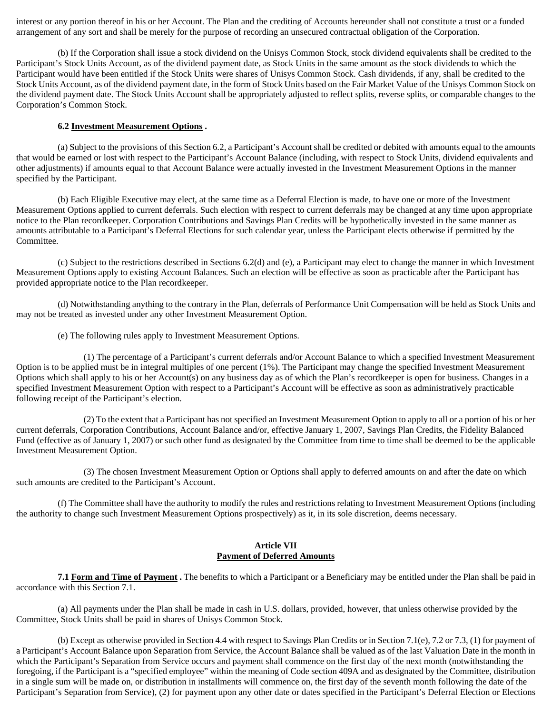interest or any portion thereof in his or her Account. The Plan and the crediting of Accounts hereunder shall not constitute a trust or a funded arrangement of any sort and shall be merely for the purpose of recording an unsecured contractual obligation of the Corporation.

(b) If the Corporation shall issue a stock dividend on the Unisys Common Stock, stock dividend equivalents shall be credited to the Participant's Stock Units Account, as of the dividend payment date, as Stock Units in the same amount as the stock dividends to which the Participant would have been entitled if the Stock Units were shares of Unisys Common Stock. Cash dividends, if any, shall be credited to the Stock Units Account, as of the dividend payment date, in the form of Stock Units based on the Fair Market Value of the Unisys Common Stock on the dividend payment date. The Stock Units Account shall be appropriately adjusted to reflect splits, reverse splits, or comparable changes to the Corporation's Common Stock.

#### **6.2 Investment Measurement Options .**

(a) Subject to the provisions of this Section 6.2, a Participant's Account shall be credited or debited with amounts equal to the amounts that would be earned or lost with respect to the Participant's Account Balance (including, with respect to Stock Units, dividend equivalents and other adjustments) if amounts equal to that Account Balance were actually invested in the Investment Measurement Options in the manner specified by the Participant.

(b) Each Eligible Executive may elect, at the same time as a Deferral Election is made, to have one or more of the Investment Measurement Options applied to current deferrals. Such election with respect to current deferrals may be changed at any time upon appropriate notice to the Plan recordkeeper. Corporation Contributions and Savings Plan Credits will be hypothetically invested in the same manner as amounts attributable to a Participant's Deferral Elections for such calendar year, unless the Participant elects otherwise if permitted by the Committee.

(c) Subject to the restrictions described in Sections 6.2(d) and (e), a Participant may elect to change the manner in which Investment Measurement Options apply to existing Account Balances. Such an election will be effective as soon as practicable after the Participant has provided appropriate notice to the Plan recordkeeper.

(d) Notwithstanding anything to the contrary in the Plan, deferrals of Performance Unit Compensation will be held as Stock Units and may not be treated as invested under any other Investment Measurement Option.

(e) The following rules apply to Investment Measurement Options.

(1) The percentage of a Participant's current deferrals and/or Account Balance to which a specified Investment Measurement Option is to be applied must be in integral multiples of one percent (1%). The Participant may change the specified Investment Measurement Options which shall apply to his or her Account(s) on any business day as of which the Plan's recordkeeper is open for business. Changes in a specified Investment Measurement Option with respect to a Participant's Account will be effective as soon as administratively practicable following receipt of the Participant's election.

(2) To the extent that a Participant has not specified an Investment Measurement Option to apply to all or a portion of his or her current deferrals, Corporation Contributions, Account Balance and/or, effective January 1, 2007, Savings Plan Credits, the Fidelity Balanced Fund (effective as of January 1, 2007) or such other fund as designated by the Committee from time to time shall be deemed to be the applicable Investment Measurement Option.

(3) The chosen Investment Measurement Option or Options shall apply to deferred amounts on and after the date on which such amounts are credited to the Participant's Account.

(f) The Committee shall have the authority to modify the rules and restrictions relating to Investment Measurement Options (including the authority to change such Investment Measurement Options prospectively) as it, in its sole discretion, deems necessary.

#### **Article VII Payment of Deferred Amounts**

**7.1 Form and Time of Payment .** The benefits to which a Participant or a Beneficiary may be entitled under the Plan shall be paid in accordance with this Section 7.1.

(a) All payments under the Plan shall be made in cash in U.S. dollars, provided, however, that unless otherwise provided by the Committee, Stock Units shall be paid in shares of Unisys Common Stock.

(b) Except as otherwise provided in Section 4.4 with respect to Savings Plan Credits or in Section 7.1(e), 7.2 or 7.3, (1) for payment of a Participant's Account Balance upon Separation from Service, the Account Balance shall be valued as of the last Valuation Date in the month in which the Participant's Separation from Service occurs and payment shall commence on the first day of the next month (notwithstanding the foregoing, if the Participant is a "specified employee" within the meaning of Code section 409A and as designated by the Committee, distribution in a single sum will be made on, or distribution in installments will commence on, the first day of the seventh month following the date of the Participant's Separation from Service), (2) for payment upon any other date or dates specified in the Participant's Deferral Election or Elections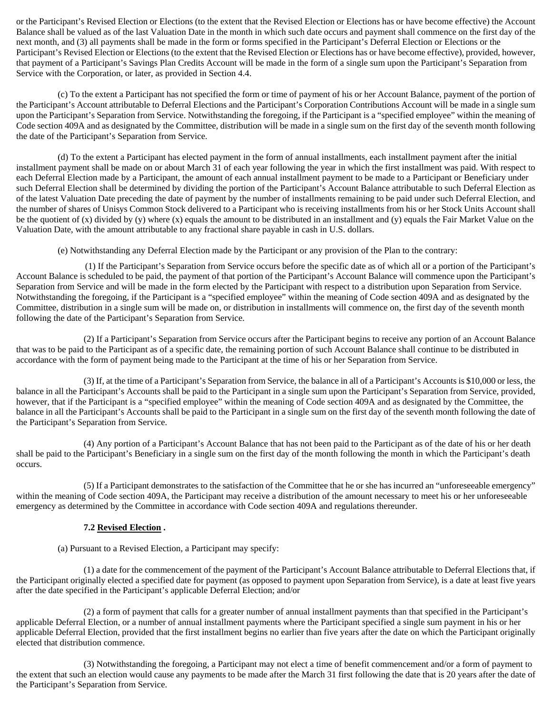or the Participant's Revised Election or Elections (to the extent that the Revised Election or Elections has or have become effective) the Account Balance shall be valued as of the last Valuation Date in the month in which such date occurs and payment shall commence on the first day of the next month, and (3) all payments shall be made in the form or forms specified in the Participant's Deferral Election or Elections or the Participant's Revised Election or Elections (to the extent that the Revised Election or Elections has or have become effective), provided, however, that payment of a Participant's Savings Plan Credits Account will be made in the form of a single sum upon the Participant's Separation from Service with the Corporation, or later, as provided in Section 4.4.

(c) To the extent a Participant has not specified the form or time of payment of his or her Account Balance, payment of the portion of the Participant's Account attributable to Deferral Elections and the Participant's Corporation Contributions Account will be made in a single sum upon the Participant's Separation from Service. Notwithstanding the foregoing, if the Participant is a "specified employee" within the meaning of Code section 409A and as designated by the Committee, distribution will be made in a single sum on the first day of the seventh month following the date of the Participant's Separation from Service.

(d) To the extent a Participant has elected payment in the form of annual installments, each installment payment after the initial installment payment shall be made on or about March 31 of each year following the year in which the first installment was paid. With respect to each Deferral Election made by a Participant, the amount of each annual installment payment to be made to a Participant or Beneficiary under such Deferral Election shall be determined by dividing the portion of the Participant's Account Balance attributable to such Deferral Election as of the latest Valuation Date preceding the date of payment by the number of installments remaining to be paid under such Deferral Election, and the number of shares of Unisys Common Stock delivered to a Participant who is receiving installments from his or her Stock Units Account shall be the quotient of (x) divided by (y) where (x) equals the amount to be distributed in an installment and (y) equals the Fair Market Value on the Valuation Date, with the amount attributable to any fractional share payable in cash in U.S. dollars.

(e) Notwithstanding any Deferral Election made by the Participant or any provision of the Plan to the contrary:

(1) If the Participant's Separation from Service occurs before the specific date as of which all or a portion of the Participant's Account Balance is scheduled to be paid, the payment of that portion of the Participant's Account Balance will commence upon the Participant's Separation from Service and will be made in the form elected by the Participant with respect to a distribution upon Separation from Service. Notwithstanding the foregoing, if the Participant is a "specified employee" within the meaning of Code section 409A and as designated by the Committee, distribution in a single sum will be made on, or distribution in installments will commence on, the first day of the seventh month following the date of the Participant's Separation from Service.

(2) If a Participant's Separation from Service occurs after the Participant begins to receive any portion of an Account Balance that was to be paid to the Participant as of a specific date, the remaining portion of such Account Balance shall continue to be distributed in accordance with the form of payment being made to the Participant at the time of his or her Separation from Service.

(3) If, at the time of a Participant's Separation from Service, the balance in all of a Participant's Accounts is \$10,000 or less, the balance in all the Participant's Accounts shall be paid to the Participant in a single sum upon the Participant's Separation from Service, provided, however, that if the Participant is a "specified employee" within the meaning of Code section 409A and as designated by the Committee, the balance in all the Participant's Accounts shall be paid to the Participant in a single sum on the first day of the seventh month following the date of the Participant's Separation from Service.

(4) Any portion of a Participant's Account Balance that has not been paid to the Participant as of the date of his or her death shall be paid to the Participant's Beneficiary in a single sum on the first day of the month following the month in which the Participant's death occurs.

(5) If a Participant demonstrates to the satisfaction of the Committee that he or she has incurred an "unforeseeable emergency" within the meaning of Code section 409A, the Participant may receive a distribution of the amount necessary to meet his or her unforeseeable emergency as determined by the Committee in accordance with Code section 409A and regulations thereunder.

# **7.2 Revised Election .**

(a) Pursuant to a Revised Election, a Participant may specify:

(1) a date for the commencement of the payment of the Participant's Account Balance attributable to Deferral Elections that, if the Participant originally elected a specified date for payment (as opposed to payment upon Separation from Service), is a date at least five years after the date specified in the Participant's applicable Deferral Election; and/or

(2) a form of payment that calls for a greater number of annual installment payments than that specified in the Participant's applicable Deferral Election, or a number of annual installment payments where the Participant specified a single sum payment in his or her applicable Deferral Election, provided that the first installment begins no earlier than five years after the date on which the Participant originally elected that distribution commence.

(3) Notwithstanding the foregoing, a Participant may not elect a time of benefit commencement and/or a form of payment to the extent that such an election would cause any payments to be made after the March 31 first following the date that is 20 years after the date of the Participant's Separation from Service.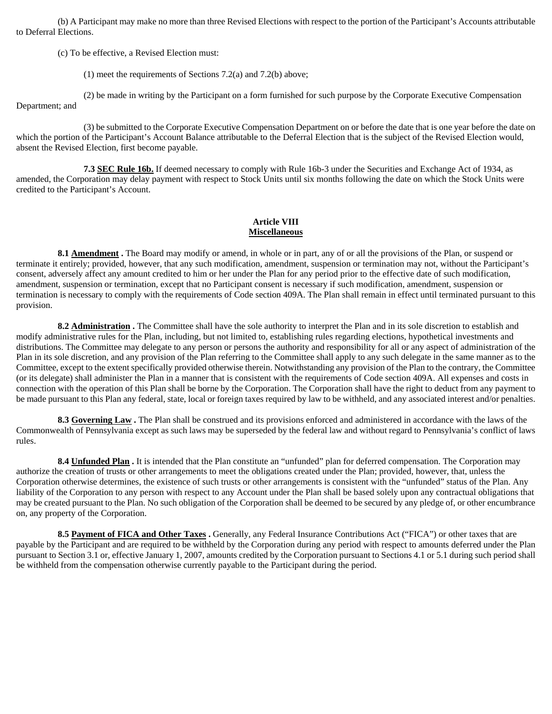(b) A Participant may make no more than three Revised Elections with respect to the portion of the Participant's Accounts attributable to Deferral Elections.

(c) To be effective, a Revised Election must:

(1) meet the requirements of Sections 7.2(a) and 7.2(b) above;

(2) be made in writing by the Participant on a form furnished for such purpose by the Corporate Executive Compensation

Department; and

(3) be submitted to the Corporate Executive Compensation Department on or before the date that is one year before the date on which the portion of the Participant's Account Balance attributable to the Deferral Election that is the subject of the Revised Election would, absent the Revised Election, first become payable.

**7.3 SEC Rule 16b.** If deemed necessary to comply with Rule 16b-3 under the Securities and Exchange Act of 1934, as amended, the Corporation may delay payment with respect to Stock Units until six months following the date on which the Stock Units were credited to the Participant's Account.

# **Article VIII Miscellaneous**

**8.1 Amendment**. The Board may modify or amend, in whole or in part, any of or all the provisions of the Plan, or suspend or terminate it entirely; provided, however, that any such modification, amendment, suspension or termination may not, without the Participant's consent, adversely affect any amount credited to him or her under the Plan for any period prior to the effective date of such modification, amendment, suspension or termination, except that no Participant consent is necessary if such modification, amendment, suspension or termination is necessary to comply with the requirements of Code section 409A. The Plan shall remain in effect until terminated pursuant to this provision.

**8.2 Administration .** The Committee shall have the sole authority to interpret the Plan and in its sole discretion to establish and modify administrative rules for the Plan, including, but not limited to, establishing rules regarding elections, hypothetical investments and distributions. The Committee may delegate to any person or persons the authority and responsibility for all or any aspect of administration of the Plan in its sole discretion, and any provision of the Plan referring to the Committee shall apply to any such delegate in the same manner as to the Committee, except to the extent specifically provided otherwise therein. Notwithstanding any provision of the Plan to the contrary, the Committee (or its delegate) shall administer the Plan in a manner that is consistent with the requirements of Code section 409A. All expenses and costs in connection with the operation of this Plan shall be borne by the Corporation. The Corporation shall have the right to deduct from any payment to be made pursuant to this Plan any federal, state, local or foreign taxes required by law to be withheld, and any associated interest and/or penalties.

**8.3 Governing Law .** The Plan shall be construed and its provisions enforced and administered in accordance with the laws of the Commonwealth of Pennsylvania except as such laws may be superseded by the federal law and without regard to Pennsylvania's conflict of laws rules.

**8.4 Unfunded Plan .** It is intended that the Plan constitute an "unfunded" plan for deferred compensation. The Corporation may authorize the creation of trusts or other arrangements to meet the obligations created under the Plan; provided, however, that, unless the Corporation otherwise determines, the existence of such trusts or other arrangements is consistent with the "unfunded" status of the Plan. Any liability of the Corporation to any person with respect to any Account under the Plan shall be based solely upon any contractual obligations that may be created pursuant to the Plan. No such obligation of the Corporation shall be deemed to be secured by any pledge of, or other encumbrance on, any property of the Corporation.

**8.5 Payment of FICA and Other Taxes .** Generally, any Federal Insurance Contributions Act ("FICA") or other taxes that are payable by the Participant and are required to be withheld by the Corporation during any period with respect to amounts deferred under the Plan pursuant to Section 3.1 or, effective January 1, 2007, amounts credited by the Corporation pursuant to Sections 4.1 or 5.1 during such period shall be withheld from the compensation otherwise currently payable to the Participant during the period.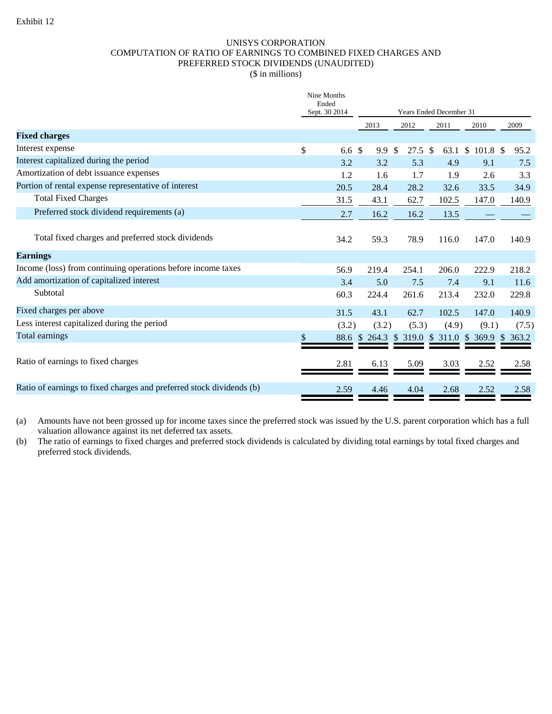# UNISYS CORPORATION COMPUTATION OF RATIO OF EARNINGS TO COMBINED FIXED CHARGES AND PREFERRED STOCK DIVIDENDS (UNAUDITED)

|  |  | (\$ in millions) |
|--|--|------------------|

|                                                                      | Nine Months<br>Ended<br>Sept. 30 2014 |               | Years Ended December 31 |       |                                     |       |  |
|----------------------------------------------------------------------|---------------------------------------|---------------|-------------------------|-------|-------------------------------------|-------|--|
|                                                                      |                                       | 2013          | 2012                    | 2011  | 2010                                | 2009  |  |
| <b>Fixed charges</b>                                                 |                                       |               |                         |       |                                     |       |  |
| Interest expense                                                     | \$<br>6.6 <sup>°</sup>                | 9.9           | \$<br>$27.5$ \$         | 63.1  | $$101.8$ \$                         | 95.2  |  |
| Interest capitalized during the period                               | 3.2                                   | 3.2           | 5.3                     | 4.9   | 9.1                                 | 7.5   |  |
| Amortization of debt issuance expenses                               | 1.2                                   | 1.6           | 1.7                     | 1.9   | 2.6                                 | 3.3   |  |
| Portion of rental expense representative of interest                 | 20.5                                  | 28.4          | 28.2                    | 32.6  | 33.5                                | 34.9  |  |
| <b>Total Fixed Charges</b>                                           | 31.5                                  | 43.1          | 62.7                    | 102.5 | 147.0                               | 140.9 |  |
| Preferred stock dividend requirements (a)                            | 2.7                                   | 16.2          | 16.2                    | 13.5  |                                     |       |  |
| Total fixed charges and preferred stock dividends                    | 34.2                                  | 59.3          | 78.9                    | 116.0 | 147.0                               | 140.9 |  |
| <b>Earnings</b>                                                      |                                       |               |                         |       |                                     |       |  |
| Income (loss) from continuing operations before income taxes         | 56.9                                  | 219.4         | 254.1                   | 206.0 | 222.9                               | 218.2 |  |
| Add amortization of capitalized interest                             | 3.4                                   | 5.0           | 7.5                     | 7.4   | 9.1                                 | 11.6  |  |
| Subtotal                                                             | 60.3                                  | 224.4         | 261.6                   | 213.4 | 232.0                               | 229.8 |  |
| Fixed charges per above                                              | 31.5                                  | 43.1          | 62.7                    | 102.5 | 147.0                               | 140.9 |  |
| Less interest capitalized during the period                          | (3.2)                                 | (3.2)         | (5.3)                   | (4.9) | (9.1)                               | (7.5) |  |
| Total earnings                                                       | \$                                    | 88.6 \$ 264.3 |                         |       | \$ 319.0 \$ 311.0 \$ 369.9 \$ 363.2 |       |  |
| Ratio of earnings to fixed charges                                   | 2.81                                  | 6.13          | 5.09                    | 3.03  | 2.52                                | 2.58  |  |
| Ratio of earnings to fixed charges and preferred stock dividends (b) | 2.59                                  | 4.46          | 4.04                    | 2.68  | 2.52                                | 2.58  |  |

(a) Amounts have not been grossed up for income taxes since the preferred stock was issued by the U.S. parent corporation which has a full valuation allowance against its net deferred tax assets.

(b) The ratio of earnings to fixed charges and preferred stock dividends is calculated by dividing total earnings by total fixed charges and preferred stock dividends.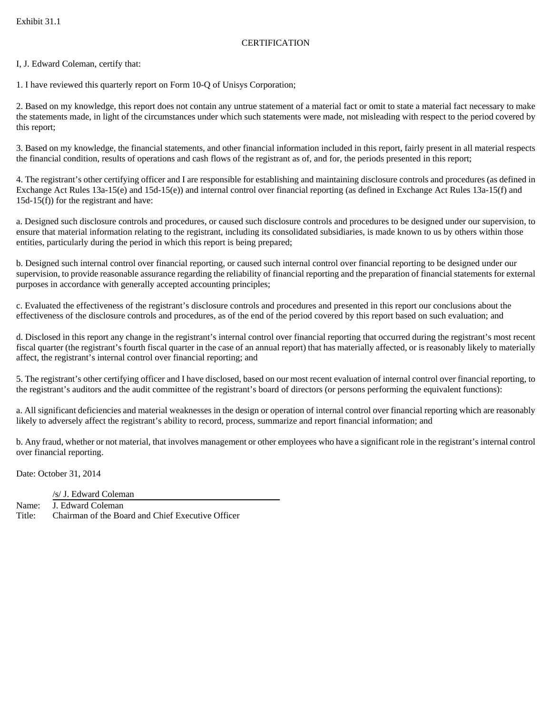# **CERTIFICATION**

I, J. Edward Coleman, certify that:

1. I have reviewed this quarterly report on Form 10-Q of Unisys Corporation;

2. Based on my knowledge, this report does not contain any untrue statement of a material fact or omit to state a material fact necessary to make the statements made, in light of the circumstances under which such statements were made, not misleading with respect to the period covered by this report;

3. Based on my knowledge, the financial statements, and other financial information included in this report, fairly present in all material respects the financial condition, results of operations and cash flows of the registrant as of, and for, the periods presented in this report;

4. The registrant's other certifying officer and I are responsible for establishing and maintaining disclosure controls and procedures (as defined in Exchange Act Rules 13a-15(e) and 15d-15(e)) and internal control over financial reporting (as defined in Exchange Act Rules 13a-15(f) and 15d-15(f)) for the registrant and have:

a. Designed such disclosure controls and procedures, or caused such disclosure controls and procedures to be designed under our supervision, to ensure that material information relating to the registrant, including its consolidated subsidiaries, is made known to us by others within those entities, particularly during the period in which this report is being prepared;

b. Designed such internal control over financial reporting, or caused such internal control over financial reporting to be designed under our supervision, to provide reasonable assurance regarding the reliability of financial reporting and the preparation of financial statements for external purposes in accordance with generally accepted accounting principles;

c. Evaluated the effectiveness of the registrant's disclosure controls and procedures and presented in this report our conclusions about the effectiveness of the disclosure controls and procedures, as of the end of the period covered by this report based on such evaluation; and

d. Disclosed in this report any change in the registrant's internal control over financial reporting that occurred during the registrant's most recent fiscal quarter (the registrant's fourth fiscal quarter in the case of an annual report) that has materially affected, or is reasonably likely to materially affect, the registrant's internal control over financial reporting; and

5. The registrant's other certifying officer and I have disclosed, based on our most recent evaluation of internal control over financial reporting, to the registrant's auditors and the audit committee of the registrant's board of directors (or persons performing the equivalent functions):

a. All significant deficiencies and material weaknesses in the design or operation of internal control over financial reporting which are reasonably likely to adversely affect the registrant's ability to record, process, summarize and report financial information; and

b. Any fraud, whether or not material, that involves management or other employees who have a significant role in the registrant's internal control over financial reporting.

Date: October 31, 2014

/s/ J. Edward Coleman

Name: J. Edward Coleman Title: Chairman of the Board and Chief Executive Officer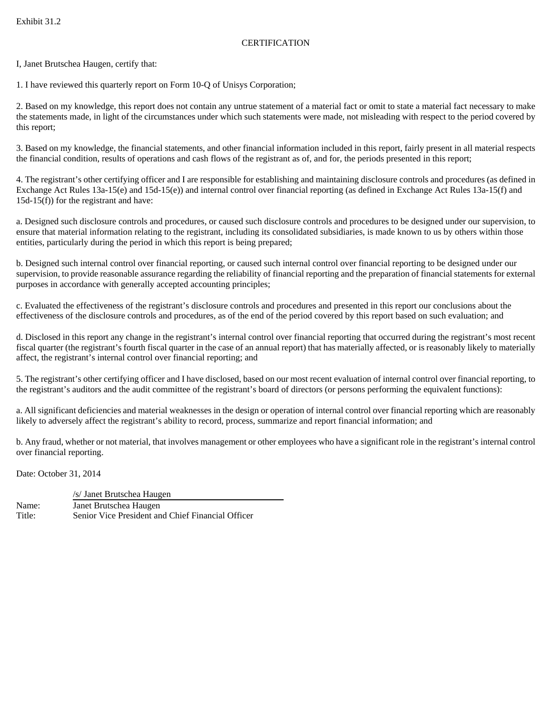# **CERTIFICATION**

I, Janet Brutschea Haugen, certify that:

1. I have reviewed this quarterly report on Form 10-Q of Unisys Corporation;

2. Based on my knowledge, this report does not contain any untrue statement of a material fact or omit to state a material fact necessary to make the statements made, in light of the circumstances under which such statements were made, not misleading with respect to the period covered by this report;

3. Based on my knowledge, the financial statements, and other financial information included in this report, fairly present in all material respects the financial condition, results of operations and cash flows of the registrant as of, and for, the periods presented in this report;

4. The registrant's other certifying officer and I are responsible for establishing and maintaining disclosure controls and procedures (as defined in Exchange Act Rules 13a-15(e) and 15d-15(e)) and internal control over financial reporting (as defined in Exchange Act Rules 13a-15(f) and 15d-15(f)) for the registrant and have:

a. Designed such disclosure controls and procedures, or caused such disclosure controls and procedures to be designed under our supervision, to ensure that material information relating to the registrant, including its consolidated subsidiaries, is made known to us by others within those entities, particularly during the period in which this report is being prepared;

b. Designed such internal control over financial reporting, or caused such internal control over financial reporting to be designed under our supervision, to provide reasonable assurance regarding the reliability of financial reporting and the preparation of financial statements for external purposes in accordance with generally accepted accounting principles;

c. Evaluated the effectiveness of the registrant's disclosure controls and procedures and presented in this report our conclusions about the effectiveness of the disclosure controls and procedures, as of the end of the period covered by this report based on such evaluation; and

d. Disclosed in this report any change in the registrant's internal control over financial reporting that occurred during the registrant's most recent fiscal quarter (the registrant's fourth fiscal quarter in the case of an annual report) that has materially affected, or is reasonably likely to materially affect, the registrant's internal control over financial reporting; and

5. The registrant's other certifying officer and I have disclosed, based on our most recent evaluation of internal control over financial reporting, to the registrant's auditors and the audit committee of the registrant's board of directors (or persons performing the equivalent functions):

a. All significant deficiencies and material weaknesses in the design or operation of internal control over financial reporting which are reasonably likely to adversely affect the registrant's ability to record, process, summarize and report financial information; and

b. Any fraud, whether or not material, that involves management or other employees who have a significant role in the registrant's internal control over financial reporting.

Date: October 31, 2014

 /s/ Janet Brutschea Haugen Name: Janet Brutschea Haugen Title: Senior Vice President and Chief Financial Officer